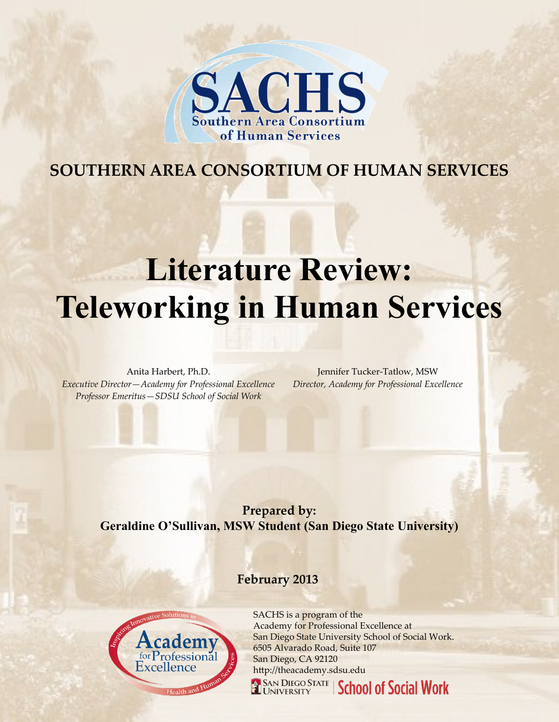

# **SOUTHERN AREA CONSORTIUM OF HUMAN SERVICES**

# **Literature Review: Teleworking in Human Services**

Anita Harbert, Ph.D. *Executive Director—Academy for Professional Excellence Professor Emeritus—SDSU School of Social Work*

Jennifer Tucker-Tatlow, MSW *Director, Academy for Professional Excellence*

**Prepared by: Geraldine O'Sullivan, MSW Student (San Diego State University)**

#### **February 2013**



SACHS is a program of the Academy for Professional Excellence at San Diego State University School of Social Work. 6505 Alvarado Road, Suite 107 San Diego, CA 92120 http://theacademy.sdsu.edu

**SAN DIEGO STATE** | School of Social Work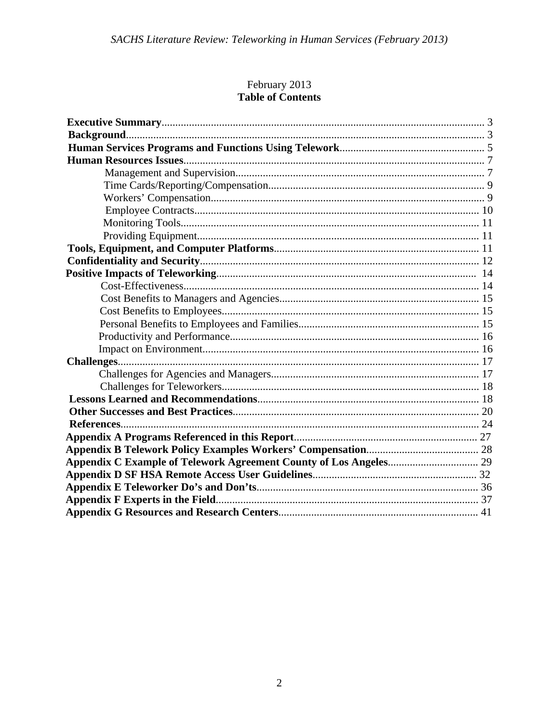# February 2013 **Table of Contents**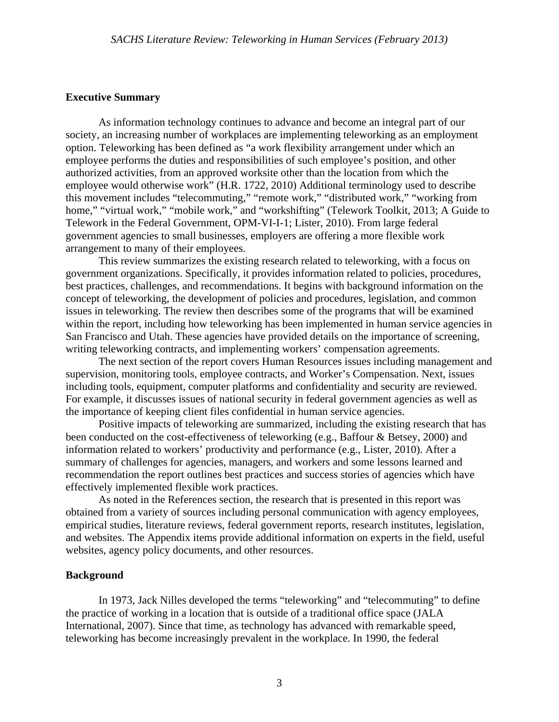#### **Executive Summary**

 As information technology continues to advance and become an integral part of our society, an increasing number of workplaces are implementing teleworking as an employment option. Teleworking has been defined as "a work flexibility arrangement under which an employee performs the duties and responsibilities of such employee's position, and other authorized activities, from an approved worksite other than the location from which the employee would otherwise work" (H.R. 1722, 2010) Additional terminology used to describe this movement includes "telecommuting," "remote work," "distributed work," "working from home," "virtual work," "mobile work," and "workshifting" (Telework Toolkit, 2013; A Guide to Telework in the Federal Government, OPM-VI-I-1; Lister, 2010). From large federal government agencies to small businesses, employers are offering a more flexible work arrangement to many of their employees.

 This review summarizes the existing research related to teleworking, with a focus on government organizations. Specifically, it provides information related to policies, procedures, best practices, challenges, and recommendations. It begins with background information on the concept of teleworking, the development of policies and procedures, legislation, and common issues in teleworking. The review then describes some of the programs that will be examined within the report, including how teleworking has been implemented in human service agencies in San Francisco and Utah. These agencies have provided details on the importance of screening, writing teleworking contracts, and implementing workers' compensation agreements.

The next section of the report covers Human Resources issues including management and supervision, monitoring tools, employee contracts, and Worker's Compensation. Next, issues including tools, equipment, computer platforms and confidentiality and security are reviewed. For example, it discusses issues of national security in federal government agencies as well as the importance of keeping client files confidential in human service agencies.

Positive impacts of teleworking are summarized, including the existing research that has been conducted on the cost-effectiveness of teleworking (e.g., Baffour & Betsey, 2000) and information related to workers' productivity and performance (e.g., Lister, 2010). After a summary of challenges for agencies, managers, and workers and some lessons learned and recommendation the report outlines best practices and success stories of agencies which have effectively implemented flexible work practices.

 As noted in the References section, the research that is presented in this report was obtained from a variety of sources including personal communication with agency employees, empirical studies, literature reviews, federal government reports, research institutes, legislation, and websites. The Appendix items provide additional information on experts in the field, useful websites, agency policy documents, and other resources.

#### **Background**

 In 1973, Jack Nilles developed the terms "teleworking" and "telecommuting" to define the practice of working in a location that is outside of a traditional office space (JALA International, 2007). Since that time, as technology has advanced with remarkable speed, teleworking has become increasingly prevalent in the workplace. In 1990, the federal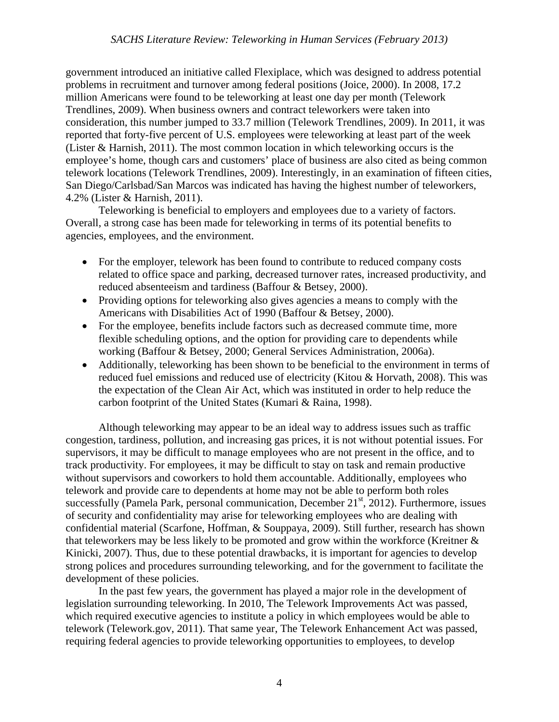government introduced an initiative called Flexiplace, which was designed to address potential problems in recruitment and turnover among federal positions (Joice, 2000). In 2008, 17.2 million Americans were found to be teleworking at least one day per month (Telework Trendlines, 2009). When business owners and contract teleworkers were taken into consideration, this number jumped to 33.7 million (Telework Trendlines, 2009). In 2011, it was reported that forty-five percent of U.S. employees were teleworking at least part of the week (Lister & Harnish, 2011). The most common location in which teleworking occurs is the employee's home, though cars and customers' place of business are also cited as being common telework locations (Telework Trendlines, 2009). Interestingly, in an examination of fifteen cities, San Diego/Carlsbad/San Marcos was indicated has having the highest number of teleworkers, 4.2% (Lister & Harnish, 2011).

 Teleworking is beneficial to employers and employees due to a variety of factors. Overall, a strong case has been made for teleworking in terms of its potential benefits to agencies, employees, and the environment.

- For the employer, telework has been found to contribute to reduced company costs related to office space and parking, decreased turnover rates, increased productivity, and reduced absenteeism and tardiness (Baffour & Betsey, 2000).
- Providing options for teleworking also gives agencies a means to comply with the Americans with Disabilities Act of 1990 (Baffour & Betsey, 2000).
- For the employee, benefits include factors such as decreased commute time, more flexible scheduling options, and the option for providing care to dependents while working (Baffour & Betsey, 2000; General Services Administration, 2006a).
- Additionally, teleworking has been shown to be beneficial to the environment in terms of reduced fuel emissions and reduced use of electricity (Kitou & Horvath, 2008). This was the expectation of the Clean Air Act, which was instituted in order to help reduce the carbon footprint of the United States (Kumari & Raina, 1998).

 Although teleworking may appear to be an ideal way to address issues such as traffic congestion, tardiness, pollution, and increasing gas prices, it is not without potential issues. For supervisors, it may be difficult to manage employees who are not present in the office, and to track productivity. For employees, it may be difficult to stay on task and remain productive without supervisors and coworkers to hold them accountable. Additionally, employees who telework and provide care to dependents at home may not be able to perform both roles successfully (Pamela Park, personal communication, December  $21<sup>st</sup>$ , 2012). Furthermore, issues of security and confidentiality may arise for teleworking employees who are dealing with confidential material (Scarfone, Hoffman, & Souppaya, 2009). Still further, research has shown that teleworkers may be less likely to be promoted and grow within the workforce (Kreitner  $\&$ Kinicki, 2007). Thus, due to these potential drawbacks, it is important for agencies to develop strong polices and procedures surrounding teleworking, and for the government to facilitate the development of these policies.

 In the past few years, the government has played a major role in the development of legislation surrounding teleworking. In 2010, The Telework Improvements Act was passed, which required executive agencies to institute a policy in which employees would be able to telework (Telework.gov, 2011). That same year, The Telework Enhancement Act was passed, requiring federal agencies to provide teleworking opportunities to employees, to develop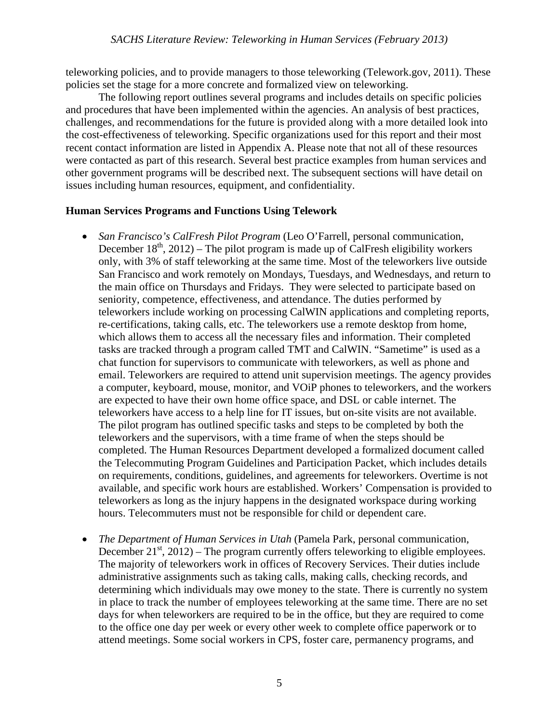teleworking policies, and to provide managers to those teleworking (Telework.gov, 2011). These policies set the stage for a more concrete and formalized view on teleworking.

 The following report outlines several programs and includes details on specific policies and procedures that have been implemented within the agencies. An analysis of best practices, challenges, and recommendations for the future is provided along with a more detailed look into the cost-effectiveness of teleworking. Specific organizations used for this report and their most recent contact information are listed in Appendix A. Please note that not all of these resources were contacted as part of this research. Several best practice examples from human services and other government programs will be described next. The subsequent sections will have detail on issues including human resources, equipment, and confidentiality.

#### **Human Services Programs and Functions Using Telework**

- *San Francisco's CalFresh Pilot Program* (Leo O'Farrell, personal communication, December  $18<sup>th</sup>$ , 2012) – The pilot program is made up of CalFresh eligibility workers only, with 3% of staff teleworking at the same time. Most of the teleworkers live outside San Francisco and work remotely on Mondays, Tuesdays, and Wednesdays, and return to the main office on Thursdays and Fridays. They were selected to participate based on seniority, competence, effectiveness, and attendance. The duties performed by teleworkers include working on processing CalWIN applications and completing reports, re-certifications, taking calls, etc. The teleworkers use a remote desktop from home, which allows them to access all the necessary files and information. Their completed tasks are tracked through a program called TMT and CalWIN. "Sametime" is used as a chat function for supervisors to communicate with teleworkers, as well as phone and email. Teleworkers are required to attend unit supervision meetings. The agency provides a computer, keyboard, mouse, monitor, and VOiP phones to teleworkers, and the workers are expected to have their own home office space, and DSL or cable internet. The teleworkers have access to a help line for IT issues, but on-site visits are not available. The pilot program has outlined specific tasks and steps to be completed by both the teleworkers and the supervisors, with a time frame of when the steps should be completed. The Human Resources Department developed a formalized document called the Telecommuting Program Guidelines and Participation Packet, which includes details on requirements, conditions, guidelines, and agreements for teleworkers. Overtime is not available, and specific work hours are established. Workers' Compensation is provided to teleworkers as long as the injury happens in the designated workspace during working hours. Telecommuters must not be responsible for child or dependent care.
- *The Department of Human Services in Utah* (Pamela Park, personal communication, December  $21<sup>st</sup>$ ,  $2012$ ) – The program currently offers teleworking to eligible employees. The majority of teleworkers work in offices of Recovery Services. Their duties include administrative assignments such as taking calls, making calls, checking records, and determining which individuals may owe money to the state. There is currently no system in place to track the number of employees teleworking at the same time. There are no set days for when teleworkers are required to be in the office, but they are required to come to the office one day per week or every other week to complete office paperwork or to attend meetings. Some social workers in CPS, foster care, permanency programs, and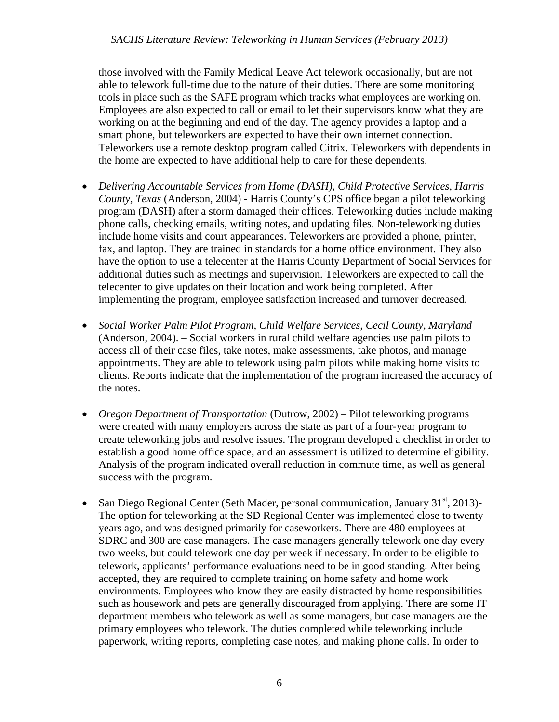those involved with the Family Medical Leave Act telework occasionally, but are not able to telework full-time due to the nature of their duties. There are some monitoring tools in place such as the SAFE program which tracks what employees are working on. Employees are also expected to call or email to let their supervisors know what they are working on at the beginning and end of the day. The agency provides a laptop and a smart phone, but teleworkers are expected to have their own internet connection. Teleworkers use a remote desktop program called Citrix. Teleworkers with dependents in the home are expected to have additional help to care for these dependents.

- *Delivering Accountable Services from Home (DASH), Child Protective Services, Harris County, Texas* (Anderson, 2004) - Harris County's CPS office began a pilot teleworking program (DASH) after a storm damaged their offices. Teleworking duties include making phone calls, checking emails, writing notes, and updating files. Non-teleworking duties include home visits and court appearances. Teleworkers are provided a phone, printer, fax, and laptop. They are trained in standards for a home office environment. They also have the option to use a telecenter at the Harris County Department of Social Services for additional duties such as meetings and supervision. Teleworkers are expected to call the telecenter to give updates on their location and work being completed. After implementing the program, employee satisfaction increased and turnover decreased.
- *Social Worker Palm Pilot Program, Child Welfare Services, Cecil County, Maryland*  (Anderson, 2004). – Social workers in rural child welfare agencies use palm pilots to access all of their case files, take notes, make assessments, take photos, and manage appointments. They are able to telework using palm pilots while making home visits to clients. Reports indicate that the implementation of the program increased the accuracy of the notes.
- *Oregon Department of Transportation* (Dutrow, 2002) Pilot teleworking programs were created with many employers across the state as part of a four-year program to create teleworking jobs and resolve issues. The program developed a checklist in order to establish a good home office space, and an assessment is utilized to determine eligibility. Analysis of the program indicated overall reduction in commute time, as well as general success with the program.
- San Diego Regional Center (Seth Mader, personal communication, January 31<sup>st</sup>, 2013)-The option for teleworking at the SD Regional Center was implemented close to twenty years ago, and was designed primarily for caseworkers. There are 480 employees at SDRC and 300 are case managers. The case managers generally telework one day every two weeks, but could telework one day per week if necessary. In order to be eligible to telework, applicants' performance evaluations need to be in good standing. After being accepted, they are required to complete training on home safety and home work environments. Employees who know they are easily distracted by home responsibilities such as housework and pets are generally discouraged from applying. There are some IT department members who telework as well as some managers, but case managers are the primary employees who telework. The duties completed while teleworking include paperwork, writing reports, completing case notes, and making phone calls. In order to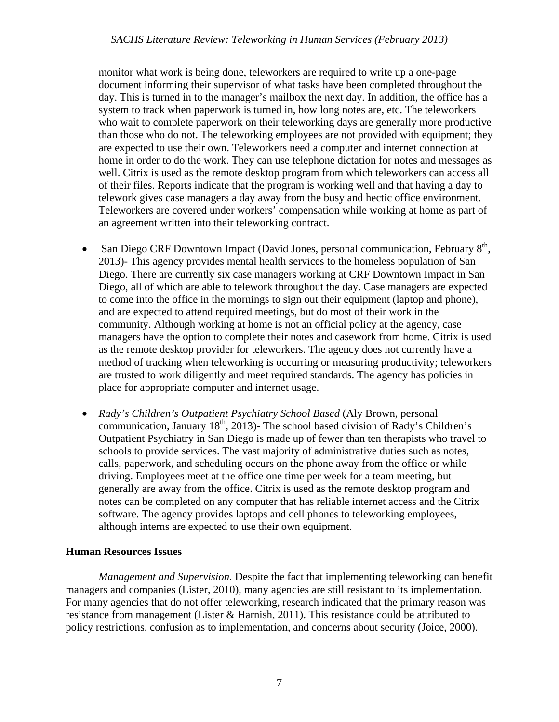monitor what work is being done, teleworkers are required to write up a one-page document informing their supervisor of what tasks have been completed throughout the day. This is turned in to the manager's mailbox the next day. In addition, the office has a system to track when paperwork is turned in, how long notes are, etc. The teleworkers who wait to complete paperwork on their teleworking days are generally more productive than those who do not. The teleworking employees are not provided with equipment; they are expected to use their own. Teleworkers need a computer and internet connection at home in order to do the work. They can use telephone dictation for notes and messages as well. Citrix is used as the remote desktop program from which teleworkers can access all of their files. Reports indicate that the program is working well and that having a day to telework gives case managers a day away from the busy and hectic office environment. Teleworkers are covered under workers' compensation while working at home as part of an agreement written into their teleworking contract.

- San Diego CRF Downtown Impact (David Jones, personal communication, February  $8<sup>th</sup>$ , 2013)- This agency provides mental health services to the homeless population of San Diego. There are currently six case managers working at CRF Downtown Impact in San Diego, all of which are able to telework throughout the day. Case managers are expected to come into the office in the mornings to sign out their equipment (laptop and phone), and are expected to attend required meetings, but do most of their work in the community. Although working at home is not an official policy at the agency, case managers have the option to complete their notes and casework from home. Citrix is used as the remote desktop provider for teleworkers. The agency does not currently have a method of tracking when teleworking is occurring or measuring productivity; teleworkers are trusted to work diligently and meet required standards. The agency has policies in place for appropriate computer and internet usage.
- *Rady's Children's Outpatient Psychiatry School Based* (Aly Brown, personal communication, January  $18<sup>th</sup>$ , 2013)- The school based division of Rady's Children's Outpatient Psychiatry in San Diego is made up of fewer than ten therapists who travel to schools to provide services. The vast majority of administrative duties such as notes, calls, paperwork, and scheduling occurs on the phone away from the office or while driving. Employees meet at the office one time per week for a team meeting, but generally are away from the office. Citrix is used as the remote desktop program and notes can be completed on any computer that has reliable internet access and the Citrix software. The agency provides laptops and cell phones to teleworking employees, although interns are expected to use their own equipment.

#### **Human Resources Issues**

*Management and Supervision.* Despite the fact that implementing teleworking can benefit managers and companies (Lister, 2010), many agencies are still resistant to its implementation. For many agencies that do not offer teleworking, research indicated that the primary reason was resistance from management (Lister & Harnish, 2011). This resistance could be attributed to policy restrictions, confusion as to implementation, and concerns about security (Joice, 2000).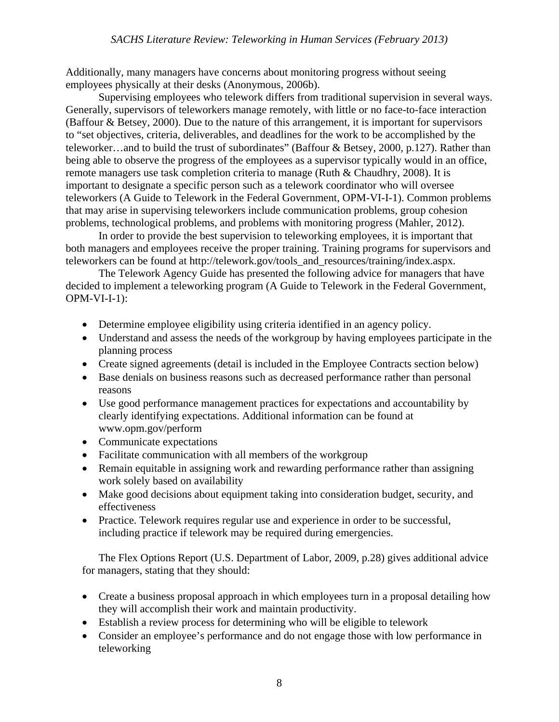Additionally, many managers have concerns about monitoring progress without seeing employees physically at their desks (Anonymous, 2006b).

Supervising employees who telework differs from traditional supervision in several ways. Generally, supervisors of teleworkers manage remotely, with little or no face-to-face interaction (Baffour & Betsey, 2000). Due to the nature of this arrangement, it is important for supervisors to "set objectives, criteria, deliverables, and deadlines for the work to be accomplished by the teleworker…and to build the trust of subordinates" (Baffour & Betsey, 2000, p.127). Rather than being able to observe the progress of the employees as a supervisor typically would in an office, remote managers use task completion criteria to manage (Ruth & Chaudhry, 2008). It is important to designate a specific person such as a telework coordinator who will oversee teleworkers (A Guide to Telework in the Federal Government, OPM-VI-I-1). Common problems that may arise in supervising teleworkers include communication problems, group cohesion problems, technological problems, and problems with monitoring progress (Mahler, 2012).

In order to provide the best supervision to teleworking employees, it is important that both managers and employees receive the proper training. Training programs for supervisors and teleworkers can be found at http://telework.gov/tools\_and\_resources/training/index.aspx.

The Telework Agency Guide has presented the following advice for managers that have decided to implement a teleworking program (A Guide to Telework in the Federal Government,  $OPM-VI-I-1$ :

- Determine employee eligibility using criteria identified in an agency policy.
- Understand and assess the needs of the workgroup by having employees participate in the planning process
- Create signed agreements (detail is included in the Employee Contracts section below)
- Base denials on business reasons such as decreased performance rather than personal reasons
- Use good performance management practices for expectations and accountability by clearly identifying expectations. Additional information can be found at www.opm.gov/perform
- Communicate expectations
- Facilitate communication with all members of the workgroup
- Remain equitable in assigning work and rewarding performance rather than assigning work solely based on availability
- Make good decisions about equipment taking into consideration budget, security, and effectiveness
- Practice. Telework requires regular use and experience in order to be successful, including practice if telework may be required during emergencies.

The Flex Options Report (U.S. Department of Labor, 2009, p.28) gives additional advice for managers, stating that they should:

- Create a business proposal approach in which employees turn in a proposal detailing how they will accomplish their work and maintain productivity.
- Establish a review process for determining who will be eligible to telework
- Consider an employee's performance and do not engage those with low performance in teleworking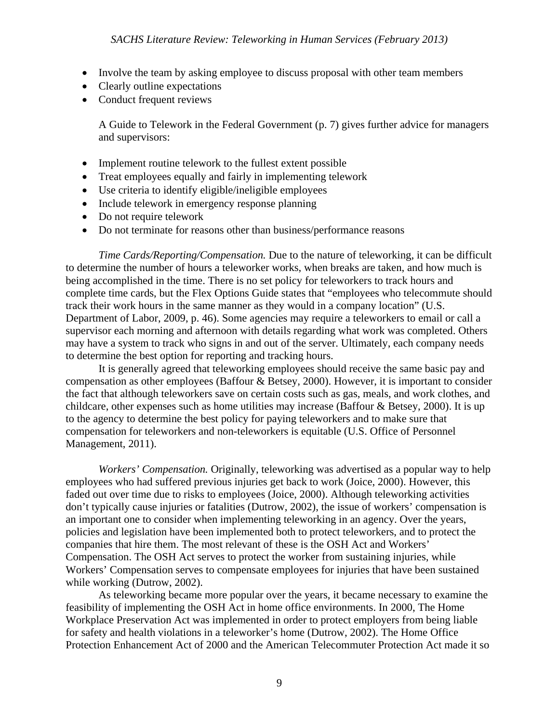- Involve the team by asking employee to discuss proposal with other team members
- Clearly outline expectations
- Conduct frequent reviews

A Guide to Telework in the Federal Government (p. 7) gives further advice for managers and supervisors:

- Implement routine telework to the fullest extent possible
- Treat employees equally and fairly in implementing telework
- Use criteria to identify eligible/ineligible employees
- Include telework in emergency response planning
- Do not require telework
- Do not terminate for reasons other than business/performance reasons

 *Time Cards/Reporting/Compensation.* Due to the nature of teleworking, it can be difficult to determine the number of hours a teleworker works, when breaks are taken, and how much is being accomplished in the time. There is no set policy for teleworkers to track hours and complete time cards, but the Flex Options Guide states that "employees who telecommute should track their work hours in the same manner as they would in a company location" (U.S. Department of Labor, 2009, p. 46). Some agencies may require a teleworkers to email or call a supervisor each morning and afternoon with details regarding what work was completed. Others may have a system to track who signs in and out of the server. Ultimately, each company needs to determine the best option for reporting and tracking hours.

It is generally agreed that teleworking employees should receive the same basic pay and compensation as other employees (Baffour & Betsey, 2000). However, it is important to consider the fact that although teleworkers save on certain costs such as gas, meals, and work clothes, and childcare, other expenses such as home utilities may increase (Baffour & Betsey, 2000). It is up to the agency to determine the best policy for paying teleworkers and to make sure that compensation for teleworkers and non-teleworkers is equitable (U.S. Office of Personnel Management, 2011).

 *Workers' Compensation.* Originally, teleworking was advertised as a popular way to help employees who had suffered previous injuries get back to work (Joice, 2000). However, this faded out over time due to risks to employees (Joice, 2000). Although teleworking activities don't typically cause injuries or fatalities (Dutrow, 2002), the issue of workers' compensation is an important one to consider when implementing teleworking in an agency. Over the years, policies and legislation have been implemented both to protect teleworkers, and to protect the companies that hire them. The most relevant of these is the OSH Act and Workers' Compensation. The OSH Act serves to protect the worker from sustaining injuries, while Workers' Compensation serves to compensate employees for injuries that have been sustained while working (Dutrow, 2002).

As teleworking became more popular over the years, it became necessary to examine the feasibility of implementing the OSH Act in home office environments. In 2000, The Home Workplace Preservation Act was implemented in order to protect employers from being liable for safety and health violations in a teleworker's home (Dutrow, 2002). The Home Office Protection Enhancement Act of 2000 and the American Telecommuter Protection Act made it so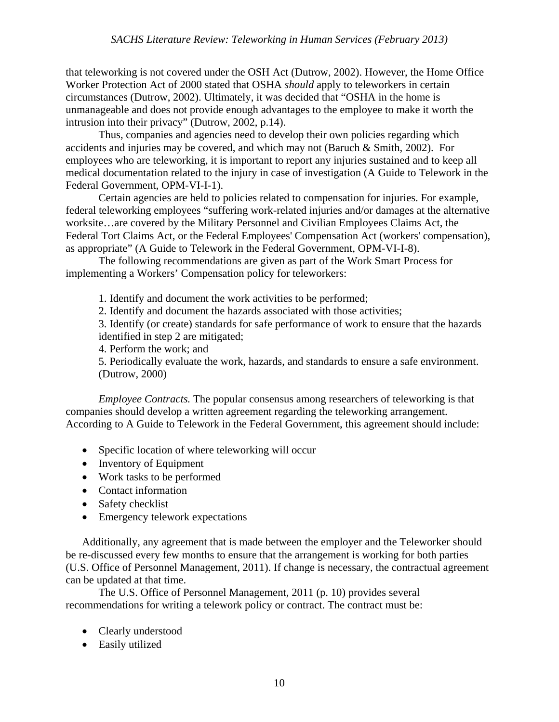that teleworking is not covered under the OSH Act (Dutrow, 2002). However, the Home Office Worker Protection Act of 2000 stated that OSHA *should* apply to teleworkers in certain circumstances (Dutrow, 2002). Ultimately, it was decided that "OSHA in the home is unmanageable and does not provide enough advantages to the employee to make it worth the intrusion into their privacy" (Dutrow, 2002, p.14).

Thus, companies and agencies need to develop their own policies regarding which accidents and injuries may be covered, and which may not (Baruch & Smith, 2002). For employees who are teleworking, it is important to report any injuries sustained and to keep all medical documentation related to the injury in case of investigation (A Guide to Telework in the Federal Government, OPM-VI-I-1).

Certain agencies are held to policies related to compensation for injuries. For example, federal teleworking employees "suffering work-related injuries and/or damages at the alternative worksite…are covered by the Military Personnel and Civilian Employees Claims Act, the Federal Tort Claims Act, or the Federal Employees' Compensation Act (workers' compensation), as appropriate" (A Guide to Telework in the Federal Government, OPM-VI-I-8).

The following recommendations are given as part of the Work Smart Process for implementing a Workers' Compensation policy for teleworkers:

1. Identify and document the work activities to be performed;

2. Identify and document the hazards associated with those activities;

3. Identify (or create) standards for safe performance of work to ensure that the hazards identified in step 2 are mitigated;

4. Perform the work; and

5. Periodically evaluate the work, hazards, and standards to ensure a safe environment. (Dutrow, 2000)

*Employee Contracts.* The popular consensus among researchers of teleworking is that companies should develop a written agreement regarding the teleworking arrangement. According to A Guide to Telework in the Federal Government, this agreement should include:

- Specific location of where teleworking will occur
- Inventory of Equipment
- Work tasks to be performed
- Contact information
- Safety checklist
- Emergency telework expectations

Additionally, any agreement that is made between the employer and the Teleworker should be re-discussed every few months to ensure that the arrangement is working for both parties (U.S. Office of Personnel Management, 2011). If change is necessary, the contractual agreement can be updated at that time.

 The U.S. Office of Personnel Management, 2011 (p. 10) provides several recommendations for writing a telework policy or contract. The contract must be:

- Clearly understood
- Easily utilized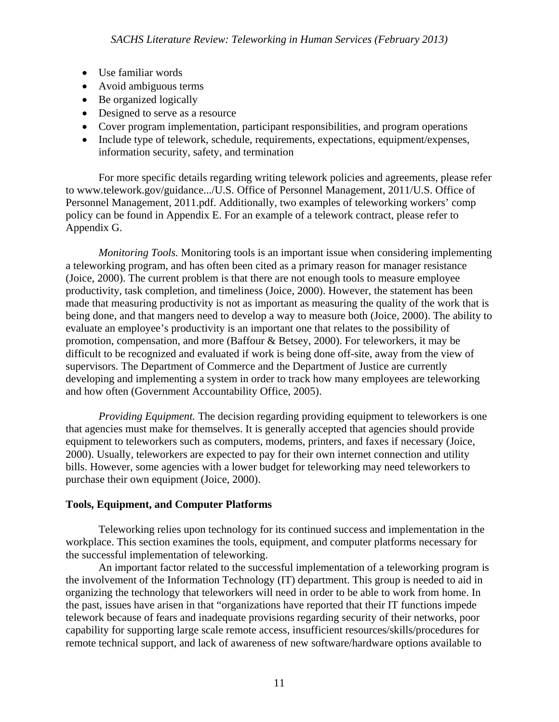- Use familiar words
- Avoid ambiguous terms
- Be organized logically
- Designed to serve as a resource
- Cover program implementation, participant responsibilities, and program operations
- Include type of telework, schedule, requirements, expectations, equipment/expenses, information security, safety, and termination

For more specific details regarding writing telework policies and agreements, please refer to www.telework.gov/guidance.../U.S. Office of Personnel Management, 2011/U.S. Office of Personnel Management, 2011.pdf. Additionally, two examples of teleworking workers' comp policy can be found in Appendix E. For an example of a telework contract, please refer to Appendix G.

*Monitoring Tools.* Monitoring tools is an important issue when considering implementing a teleworking program, and has often been cited as a primary reason for manager resistance (Joice, 2000). The current problem is that there are not enough tools to measure employee productivity, task completion, and timeliness (Joice, 2000). However, the statement has been made that measuring productivity is not as important as measuring the quality of the work that is being done, and that mangers need to develop a way to measure both (Joice, 2000). The ability to evaluate an employee's productivity is an important one that relates to the possibility of promotion, compensation, and more (Baffour & Betsey, 2000). For teleworkers, it may be difficult to be recognized and evaluated if work is being done off-site, away from the view of supervisors. The Department of Commerce and the Department of Justice are currently developing and implementing a system in order to track how many employees are teleworking and how often (Government Accountability Office, 2005).

*Providing Equipment.* The decision regarding providing equipment to teleworkers is one that agencies must make for themselves. It is generally accepted that agencies should provide equipment to teleworkers such as computers, modems, printers, and faxes if necessary (Joice, 2000). Usually, teleworkers are expected to pay for their own internet connection and utility bills. However, some agencies with a lower budget for teleworking may need teleworkers to purchase their own equipment (Joice, 2000).

#### **Tools, Equipment, and Computer Platforms**

Teleworking relies upon technology for its continued success and implementation in the workplace. This section examines the tools, equipment, and computer platforms necessary for the successful implementation of teleworking.

 An important factor related to the successful implementation of a teleworking program is the involvement of the Information Technology (IT) department. This group is needed to aid in organizing the technology that teleworkers will need in order to be able to work from home. In the past, issues have arisen in that "organizations have reported that their IT functions impede telework because of fears and inadequate provisions regarding security of their networks, poor capability for supporting large scale remote access, insufficient resources/skills/procedures for remote technical support, and lack of awareness of new software/hardware options available to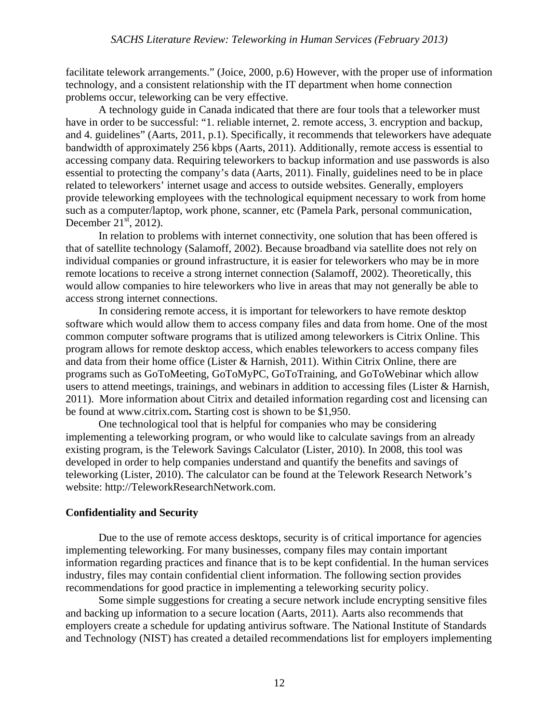facilitate telework arrangements." (Joice, 2000, p.6) However, with the proper use of information technology, and a consistent relationship with the IT department when home connection problems occur, teleworking can be very effective.

 A technology guide in Canada indicated that there are four tools that a teleworker must have in order to be successful: "1. reliable internet, 2. remote access, 3. encryption and backup, and 4. guidelines" (Aarts, 2011, p.1). Specifically, it recommends that teleworkers have adequate bandwidth of approximately 256 kbps (Aarts, 2011). Additionally, remote access is essential to accessing company data. Requiring teleworkers to backup information and use passwords is also essential to protecting the company's data (Aarts, 2011). Finally, guidelines need to be in place related to teleworkers' internet usage and access to outside websites. Generally, employers provide teleworking employees with the technological equipment necessary to work from home such as a computer/laptop, work phone, scanner, etc (Pamela Park, personal communication, December  $21<sup>st</sup>$ , 2012).

 In relation to problems with internet connectivity, one solution that has been offered is that of satellite technology (Salamoff, 2002). Because broadband via satellite does not rely on individual companies or ground infrastructure, it is easier for teleworkers who may be in more remote locations to receive a strong internet connection (Salamoff, 2002). Theoretically, this would allow companies to hire teleworkers who live in areas that may not generally be able to access strong internet connections.

In considering remote access, it is important for teleworkers to have remote desktop software which would allow them to access company files and data from home. One of the most common computer software programs that is utilized among teleworkers is Citrix Online. This program allows for remote desktop access, which enables teleworkers to access company files and data from their home office (Lister & Harnish, 2011). Within Citrix Online, there are programs such as GoToMeeting, GoToMyPC, GoToTraining, and GoToWebinar which allow users to attend meetings, trainings, and webinars in addition to accessing files (Lister & Harnish, 2011). More information about Citrix and detailed information regarding cost and licensing can be found at www.citrix.com**.** Starting cost is shown to be \$1,950.

One technological tool that is helpful for companies who may be considering implementing a teleworking program, or who would like to calculate savings from an already existing program, is the Telework Savings Calculator (Lister, 2010). In 2008, this tool was developed in order to help companies understand and quantify the benefits and savings of teleworking (Lister, 2010). The calculator can be found at the Telework Research Network's website: http://TeleworkResearchNetwork.com.

#### **Confidentiality and Security**

Due to the use of remote access desktops, security is of critical importance for agencies implementing teleworking. For many businesses, company files may contain important information regarding practices and finance that is to be kept confidential. In the human services industry, files may contain confidential client information. The following section provides recommendations for good practice in implementing a teleworking security policy.

Some simple suggestions for creating a secure network include encrypting sensitive files and backing up information to a secure location (Aarts, 2011). Aarts also recommends that employers create a schedule for updating antivirus software. The National Institute of Standards and Technology (NIST) has created a detailed recommendations list for employers implementing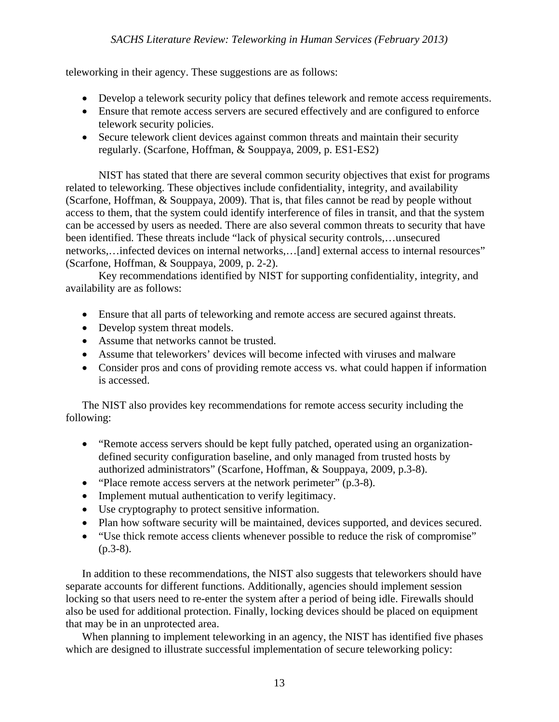teleworking in their agency. These suggestions are as follows:

- Develop a telework security policy that defines telework and remote access requirements.
- Ensure that remote access servers are secured effectively and are configured to enforce telework security policies.
- Secure telework client devices against common threats and maintain their security regularly. (Scarfone, Hoffman, & Souppaya, 2009, p. ES1-ES2)

NIST has stated that there are several common security objectives that exist for programs related to teleworking. These objectives include confidentiality, integrity, and availability (Scarfone, Hoffman, & Souppaya, 2009). That is, that files cannot be read by people without access to them, that the system could identify interference of files in transit, and that the system can be accessed by users as needed. There are also several common threats to security that have been identified. These threats include "lack of physical security controls,…unsecured networks,…infected devices on internal networks,…[and] external access to internal resources" (Scarfone, Hoffman, & Souppaya, 2009, p. 2-2).

Key recommendations identified by NIST for supporting confidentiality, integrity, and availability are as follows:

- Ensure that all parts of teleworking and remote access are secured against threats.
- Develop system threat models.
- Assume that networks cannot be trusted.
- Assume that teleworkers' devices will become infected with viruses and malware
- Consider pros and cons of providing remote access vs. what could happen if information is accessed.

The NIST also provides key recommendations for remote access security including the following:

- "Remote access servers should be kept fully patched, operated using an organizationdefined security configuration baseline, and only managed from trusted hosts by authorized administrators" (Scarfone, Hoffman, & Souppaya, 2009, p.3-8).
- "Place remote access servers at the network perimeter" (p.3-8).
- Implement mutual authentication to verify legitimacy.
- Use cryptography to protect sensitive information.
- Plan how software security will be maintained, devices supported, and devices secured.
- "Use thick remote access clients whenever possible to reduce the risk of compromise"  $(p.3-8)$ .

In addition to these recommendations, the NIST also suggests that teleworkers should have separate accounts for different functions. Additionally, agencies should implement session locking so that users need to re-enter the system after a period of being idle. Firewalls should also be used for additional protection. Finally, locking devices should be placed on equipment that may be in an unprotected area.

When planning to implement teleworking in an agency, the NIST has identified five phases which are designed to illustrate successful implementation of secure teleworking policy: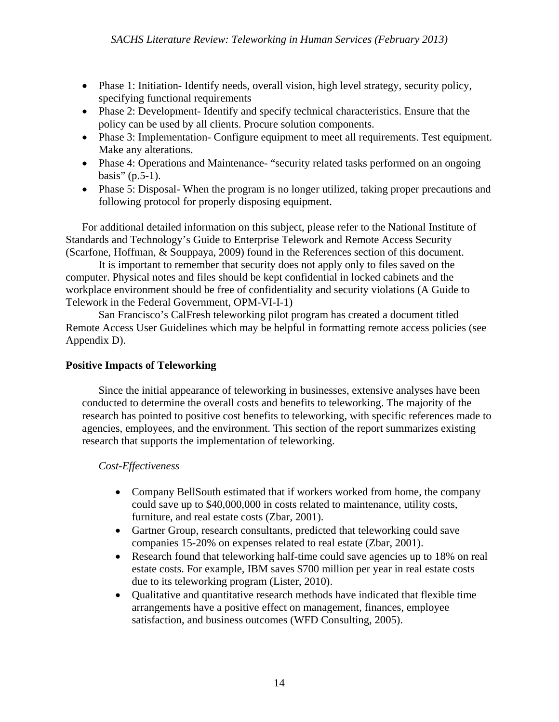- Phase 1: Initiation-Identify needs, overall vision, high level strategy, security policy, specifying functional requirements
- Phase 2: Development-Identify and specify technical characteristics. Ensure that the policy can be used by all clients. Procure solution components.
- Phase 3: Implementation- Configure equipment to meet all requirements. Test equipment. Make any alterations.
- Phase 4: Operations and Maintenance- "security related tasks performed on an ongoing basis"  $(p.5-1)$ .
- Phase 5: Disposal- When the program is no longer utilized, taking proper precautions and following protocol for properly disposing equipment.

For additional detailed information on this subject, please refer to the National Institute of Standards and Technology's Guide to Enterprise Telework and Remote Access Security (Scarfone, Hoffman, & Souppaya, 2009) found in the References section of this document.

It is important to remember that security does not apply only to files saved on the computer. Physical notes and files should be kept confidential in locked cabinets and the workplace environment should be free of confidentiality and security violations (A Guide to Telework in the Federal Government, OPM-VI-I-1)

San Francisco's CalFresh teleworking pilot program has created a document titled Remote Access User Guidelines which may be helpful in formatting remote access policies (see Appendix D).

#### **Positive Impacts of Teleworking**

Since the initial appearance of teleworking in businesses, extensive analyses have been conducted to determine the overall costs and benefits to teleworking. The majority of the research has pointed to positive cost benefits to teleworking, with specific references made to agencies, employees, and the environment. This section of the report summarizes existing research that supports the implementation of teleworking.

#### *Cost-Effectiveness*

- Company BellSouth estimated that if workers worked from home, the company could save up to \$40,000,000 in costs related to maintenance, utility costs, furniture, and real estate costs (Zbar, 2001).
- Gartner Group, research consultants, predicted that teleworking could save companies 15-20% on expenses related to real estate (Zbar, 2001).
- Research found that teleworking half-time could save agencies up to 18% on real estate costs. For example, IBM saves \$700 million per year in real estate costs due to its teleworking program (Lister, 2010).
- Oualitative and quantitative research methods have indicated that flexible time arrangements have a positive effect on management, finances, employee satisfaction, and business outcomes (WFD Consulting, 2005).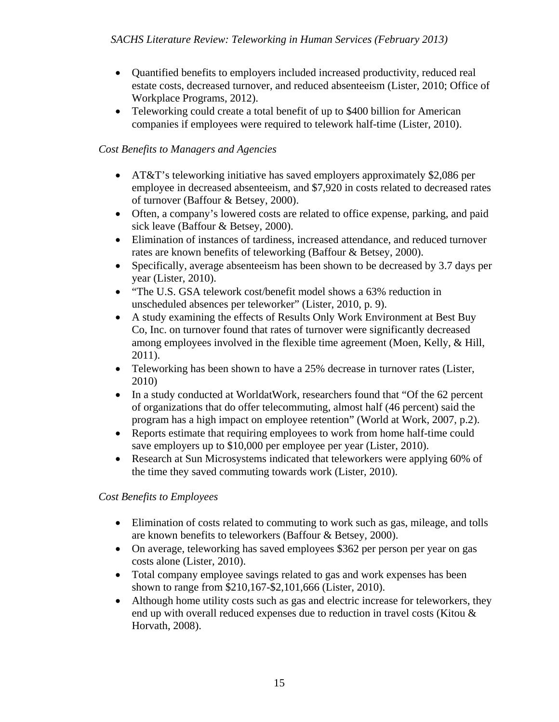- Quantified benefits to employers included increased productivity, reduced real estate costs, decreased turnover, and reduced absenteeism (Lister, 2010; Office of Workplace Programs, 2012).
- Teleworking could create a total benefit of up to \$400 billion for American companies if employees were required to telework half-time (Lister, 2010).

# *Cost Benefits to Managers and Agencies*

- AT&T's teleworking initiative has saved employers approximately \$2,086 per employee in decreased absenteeism, and \$7,920 in costs related to decreased rates of turnover (Baffour & Betsey, 2000).
- Often, a company's lowered costs are related to office expense, parking, and paid sick leave (Baffour & Betsey, 2000).
- Elimination of instances of tardiness, increased attendance, and reduced turnover rates are known benefits of teleworking (Baffour & Betsey, 2000).
- Specifically, average absenteeism has been shown to be decreased by 3.7 days per year (Lister, 2010).
- "The U.S. GSA telework cost/benefit model shows a 63% reduction in unscheduled absences per teleworker" (Lister, 2010, p. 9).
- A study examining the effects of Results Only Work Environment at Best Buy Co, Inc. on turnover found that rates of turnover were significantly decreased among employees involved in the flexible time agreement (Moen, Kelly, & Hill, 2011).
- Teleworking has been shown to have a 25% decrease in turnover rates (Lister, 2010)
- In a study conducted at WorldatWork, researchers found that "Of the 62 percent" of organizations that do offer telecommuting, almost half (46 percent) said the program has a high impact on employee retention" (World at Work, 2007, p.2).
- Reports estimate that requiring employees to work from home half-time could save employers up to \$10,000 per employee per year (Lister, 2010).
- Research at Sun Microsystems indicated that teleworkers were applying 60% of the time they saved commuting towards work (Lister, 2010).

# *Cost Benefits to Employees*

- Elimination of costs related to commuting to work such as gas, mileage, and tolls are known benefits to teleworkers (Baffour & Betsey, 2000).
- On average, teleworking has saved employees \$362 per person per year on gas costs alone (Lister, 2010).
- Total company employee savings related to gas and work expenses has been shown to range from \$210,167-\$2,101,666 (Lister, 2010).
- Although home utility costs such as gas and electric increase for teleworkers, they end up with overall reduced expenses due to reduction in travel costs (Kitou & Horvath, 2008).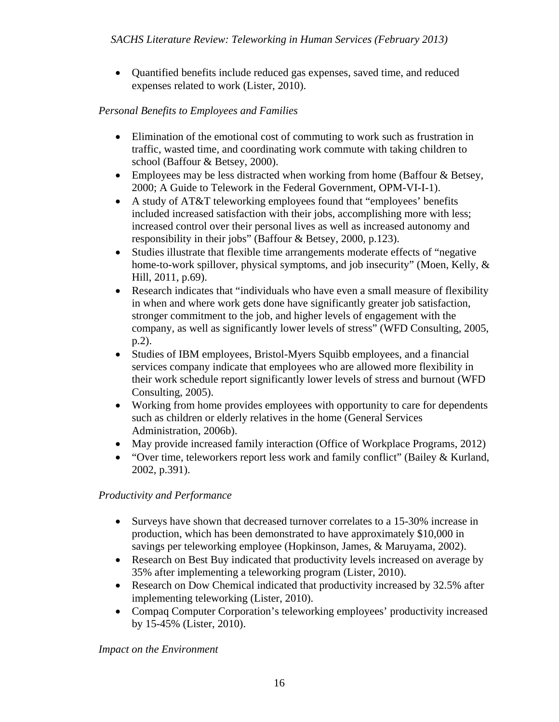• Quantified benefits include reduced gas expenses, saved time, and reduced expenses related to work (Lister, 2010).

# *Personal Benefits to Employees and Families*

- Elimination of the emotional cost of commuting to work such as frustration in traffic, wasted time, and coordinating work commute with taking children to school (Baffour & Betsey, 2000).
- Employees may be less distracted when working from home (Baffour & Betsey, 2000; A Guide to Telework in the Federal Government, OPM-VI-I-1).
- A study of AT&T teleworking employees found that "employees' benefits included increased satisfaction with their jobs, accomplishing more with less; increased control over their personal lives as well as increased autonomy and responsibility in their jobs" (Baffour & Betsey, 2000, p.123).
- Studies illustrate that flexible time arrangements moderate effects of "negative home-to-work spillover, physical symptoms, and job insecurity" (Moen, Kelly, & Hill, 2011, p.69).
- Research indicates that "individuals who have even a small measure of flexibility in when and where work gets done have significantly greater job satisfaction, stronger commitment to the job, and higher levels of engagement with the company, as well as significantly lower levels of stress" (WFD Consulting, 2005, p.2).
- Studies of IBM employees, Bristol-Myers Squibb employees, and a financial services company indicate that employees who are allowed more flexibility in their work schedule report significantly lower levels of stress and burnout (WFD Consulting, 2005).
- Working from home provides employees with opportunity to care for dependents such as children or elderly relatives in the home (General Services Administration, 2006b).
- May provide increased family interaction (Office of Workplace Programs, 2012)
- "Over time, teleworkers report less work and family conflict" (Bailey & Kurland, 2002, p.391).

#### *Productivity and Performance*

- Surveys have shown that decreased turnover correlates to a 15-30% increase in production, which has been demonstrated to have approximately \$10,000 in savings per teleworking employee (Hopkinson, James, & Maruyama, 2002).
- Research on Best Buy indicated that productivity levels increased on average by 35% after implementing a teleworking program (Lister, 2010).
- Research on Dow Chemical indicated that productivity increased by 32.5% after implementing teleworking (Lister, 2010).
- Compaq Computer Corporation's teleworking employees' productivity increased by 15-45% (Lister, 2010).

 *Impact on the Environment*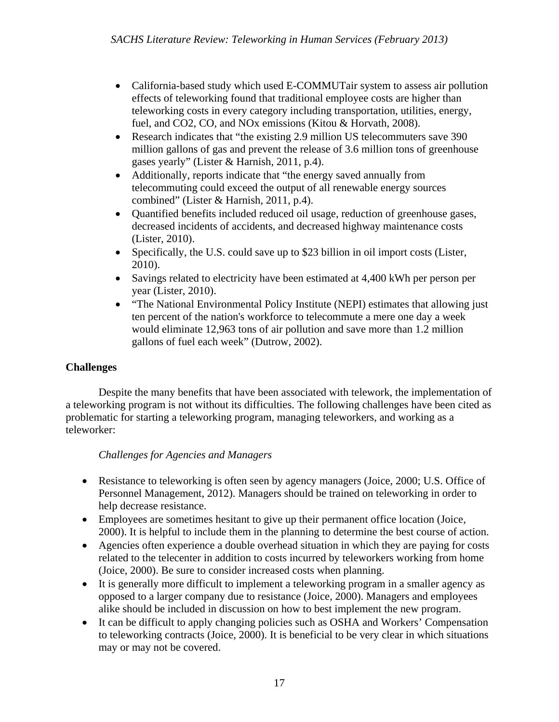- California-based study which used E-COMMUTair system to assess air pollution effects of teleworking found that traditional employee costs are higher than teleworking costs in every category including transportation, utilities, energy, fuel, and CO2, CO, and NO<sub>x</sub> emissions (Kitou & Horvath, 2008).
- Research indicates that "the existing 2.9 million US telecommuters save 390 million gallons of gas and prevent the release of 3.6 million tons of greenhouse gases yearly" (Lister & Harnish, 2011, p.4).
- Additionally, reports indicate that "the energy saved annually from telecommuting could exceed the output of all renewable energy sources combined" (Lister & Harnish, 2011, p.4).
- Ouantified benefits included reduced oil usage, reduction of greenhouse gases, decreased incidents of accidents, and decreased highway maintenance costs (Lister, 2010).
- Specifically, the U.S. could save up to \$23 billion in oil import costs (Lister, 2010).
- Savings related to electricity have been estimated at 4,400 kWh per person per year (Lister, 2010).
- "The National Environmental Policy Institute (NEPI) estimates that allowing just ten percent of the nation's workforce to telecommute a mere one day a week would eliminate 12,963 tons of air pollution and save more than 1.2 million gallons of fuel each week" (Dutrow, 2002).

# **Challenges**

 Despite the many benefits that have been associated with telework, the implementation of a teleworking program is not without its difficulties. The following challenges have been cited as problematic for starting a teleworking program, managing teleworkers, and working as a teleworker:

#### *Challenges for Agencies and Managers*

- Resistance to teleworking is often seen by agency managers (Joice, 2000; U.S. Office of Personnel Management, 2012). Managers should be trained on teleworking in order to help decrease resistance.
- Employees are sometimes hesitant to give up their permanent office location (Joice, 2000). It is helpful to include them in the planning to determine the best course of action.
- Agencies often experience a double overhead situation in which they are paying for costs related to the telecenter in addition to costs incurred by teleworkers working from home (Joice, 2000). Be sure to consider increased costs when planning.
- It is generally more difficult to implement a teleworking program in a smaller agency as opposed to a larger company due to resistance (Joice, 2000). Managers and employees alike should be included in discussion on how to best implement the new program.
- It can be difficult to apply changing policies such as OSHA and Workers' Compensation to teleworking contracts (Joice, 2000). It is beneficial to be very clear in which situations may or may not be covered.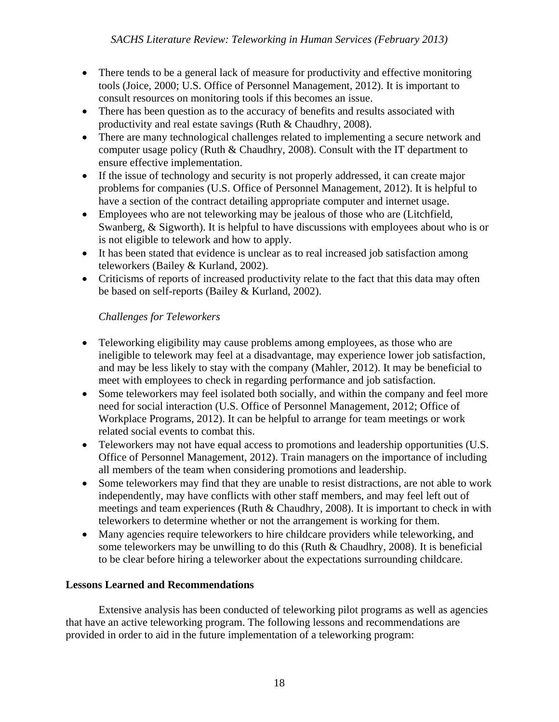- There tends to be a general lack of measure for productivity and effective monitoring tools (Joice, 2000; U.S. Office of Personnel Management, 2012). It is important to consult resources on monitoring tools if this becomes an issue.
- There has been question as to the accuracy of benefits and results associated with productivity and real estate savings (Ruth & Chaudhry, 2008).
- There are many technological challenges related to implementing a secure network and computer usage policy (Ruth & Chaudhry, 2008). Consult with the IT department to ensure effective implementation.
- If the issue of technology and security is not properly addressed, it can create major problems for companies (U.S. Office of Personnel Management, 2012). It is helpful to have a section of the contract detailing appropriate computer and internet usage.
- Employees who are not teleworking may be jealous of those who are (Litchfield, Swanberg, & Sigworth). It is helpful to have discussions with employees about who is or is not eligible to telework and how to apply.
- It has been stated that evidence is unclear as to real increased job satisfaction among teleworkers (Bailey & Kurland, 2002).
- Criticisms of reports of increased productivity relate to the fact that this data may often be based on self-reports (Bailey & Kurland, 2002).

# *Challenges for Teleworkers*

- Teleworking eligibility may cause problems among employees, as those who are ineligible to telework may feel at a disadvantage, may experience lower job satisfaction, and may be less likely to stay with the company (Mahler, 2012). It may be beneficial to meet with employees to check in regarding performance and job satisfaction.
- Some teleworkers may feel isolated both socially, and within the company and feel more need for social interaction (U.S. Office of Personnel Management, 2012; Office of Workplace Programs, 2012). It can be helpful to arrange for team meetings or work related social events to combat this.
- Teleworkers may not have equal access to promotions and leadership opportunities (U.S. Office of Personnel Management, 2012). Train managers on the importance of including all members of the team when considering promotions and leadership.
- Some teleworkers may find that they are unable to resist distractions, are not able to work independently, may have conflicts with other staff members, and may feel left out of meetings and team experiences (Ruth & Chaudhry, 2008). It is important to check in with teleworkers to determine whether or not the arrangement is working for them.
- Many agencies require teleworkers to hire childcare providers while teleworking, and some teleworkers may be unwilling to do this (Ruth  $&$  Chaudhry, 2008). It is beneficial to be clear before hiring a teleworker about the expectations surrounding childcare.

#### **Lessons Learned and Recommendations**

Extensive analysis has been conducted of teleworking pilot programs as well as agencies that have an active teleworking program. The following lessons and recommendations are provided in order to aid in the future implementation of a teleworking program: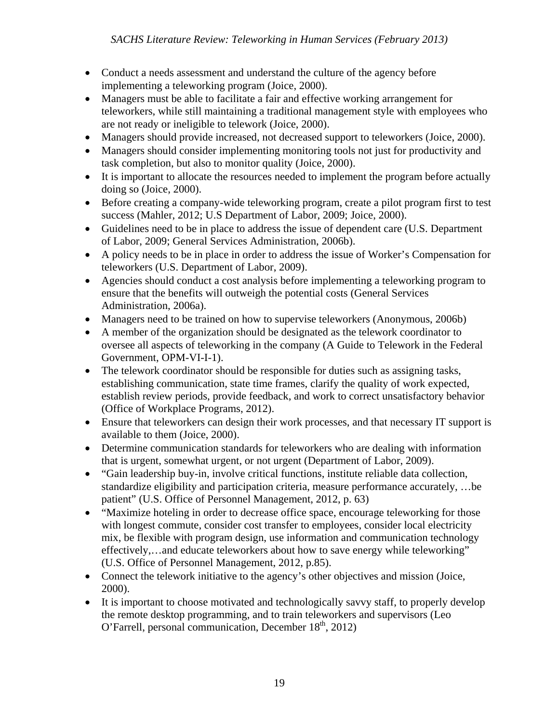- Conduct a needs assessment and understand the culture of the agency before implementing a teleworking program (Joice, 2000).
- Managers must be able to facilitate a fair and effective working arrangement for teleworkers, while still maintaining a traditional management style with employees who are not ready or ineligible to telework (Joice, 2000).
- Managers should provide increased, not decreased support to teleworkers (Joice, 2000).
- Managers should consider implementing monitoring tools not just for productivity and task completion, but also to monitor quality (Joice, 2000).
- It is important to allocate the resources needed to implement the program before actually doing so (Joice, 2000).
- Before creating a company-wide teleworking program, create a pilot program first to test success (Mahler, 2012; U.S Department of Labor, 2009; Joice, 2000).
- Guidelines need to be in place to address the issue of dependent care (U.S. Department of Labor, 2009; General Services Administration, 2006b).
- A policy needs to be in place in order to address the issue of Worker's Compensation for teleworkers (U.S. Department of Labor, 2009).
- Agencies should conduct a cost analysis before implementing a teleworking program to ensure that the benefits will outweigh the potential costs (General Services Administration, 2006a).
- Managers need to be trained on how to supervise teleworkers (Anonymous, 2006b)
- A member of the organization should be designated as the telework coordinator to oversee all aspects of teleworking in the company (A Guide to Telework in the Federal Government, OPM-VI-I-1).
- The telework coordinator should be responsible for duties such as assigning tasks, establishing communication, state time frames, clarify the quality of work expected, establish review periods, provide feedback, and work to correct unsatisfactory behavior (Office of Workplace Programs, 2012).
- Ensure that teleworkers can design their work processes, and that necessary IT support is available to them (Joice, 2000).
- Determine communication standards for teleworkers who are dealing with information that is urgent, somewhat urgent, or not urgent (Department of Labor, 2009).
- "Gain leadership buy-in, involve critical functions, institute reliable data collection, standardize eligibility and participation criteria, measure performance accurately, …be patient" (U.S. Office of Personnel Management, 2012, p. 63)
- "Maximize hoteling in order to decrease office space, encourage teleworking for those with longest commute, consider cost transfer to employees, consider local electricity mix, be flexible with program design, use information and communication technology effectively,…and educate teleworkers about how to save energy while teleworking" (U.S. Office of Personnel Management, 2012, p.85).
- Connect the telework initiative to the agency's other objectives and mission (Joice, 2000).
- It is important to choose motivated and technologically savvy staff, to properly develop the remote desktop programming, and to train teleworkers and supervisors (Leo O'Farrell, personal communication, December  $18<sup>th</sup>$ , 2012)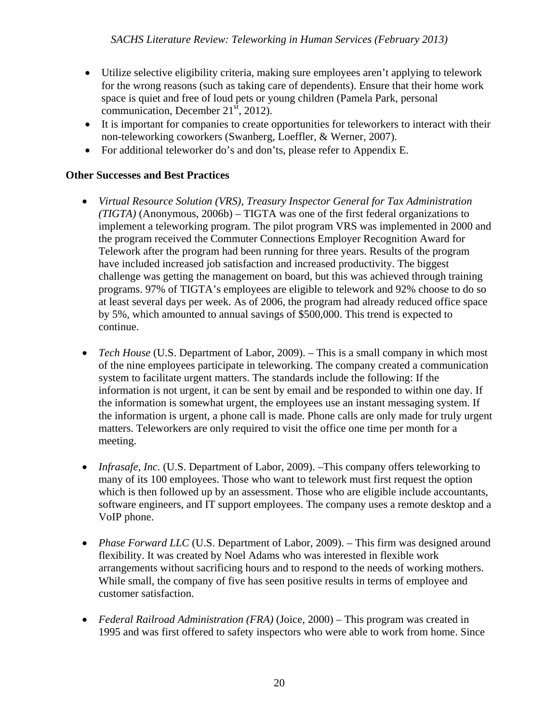- Utilize selective eligibility criteria, making sure employees aren't applying to telework for the wrong reasons (such as taking care of dependents). Ensure that their home work space is quiet and free of loud pets or young children (Pamela Park, personal communication, December  $21<sup>st</sup>$ , 2012).
- It is important for companies to create opportunities for teleworkers to interact with their non-teleworking coworkers (Swanberg, Loeffler, & Werner, 2007).
- For additional teleworker do's and don'ts, please refer to Appendix E.

# **Other Successes and Best Practices**

- *Virtual Resource Solution (VRS), Treasury Inspector General for Tax Administration (TIGTA)* (Anonymous, 2006b) – TIGTA was one of the first federal organizations to implement a teleworking program. The pilot program VRS was implemented in 2000 and the program received the Commuter Connections Employer Recognition Award for Telework after the program had been running for three years. Results of the program have included increased job satisfaction and increased productivity. The biggest challenge was getting the management on board, but this was achieved through training programs. 97% of TIGTA's employees are eligible to telework and 92% choose to do so at least several days per week. As of 2006, the program had already reduced office space by 5%, which amounted to annual savings of \$500,000. This trend is expected to continue.
- *Tech House* (U.S. Department of Labor, 2009). This is a small company in which most of the nine employees participate in teleworking. The company created a communication system to facilitate urgent matters. The standards include the following: If the information is not urgent, it can be sent by email and be responded to within one day. If the information is somewhat urgent, the employees use an instant messaging system. If the information is urgent, a phone call is made. Phone calls are only made for truly urgent matters. Teleworkers are only required to visit the office one time per month for a meeting.
- *Infrasafe, Inc.* (U.S. Department of Labor, 2009). –This company offers teleworking to many of its 100 employees. Those who want to telework must first request the option which is then followed up by an assessment. Those who are eligible include accountants, software engineers, and IT support employees. The company uses a remote desktop and a VoIP phone.
- *Phase Forward LLC* (U.S. Department of Labor, 2009). This firm was designed around flexibility. It was created by Noel Adams who was interested in flexible work arrangements without sacrificing hours and to respond to the needs of working mothers. While small, the company of five has seen positive results in terms of employee and customer satisfaction.
- *Federal Railroad Administration (FRA)* (Joice, 2000) This program was created in 1995 and was first offered to safety inspectors who were able to work from home. Since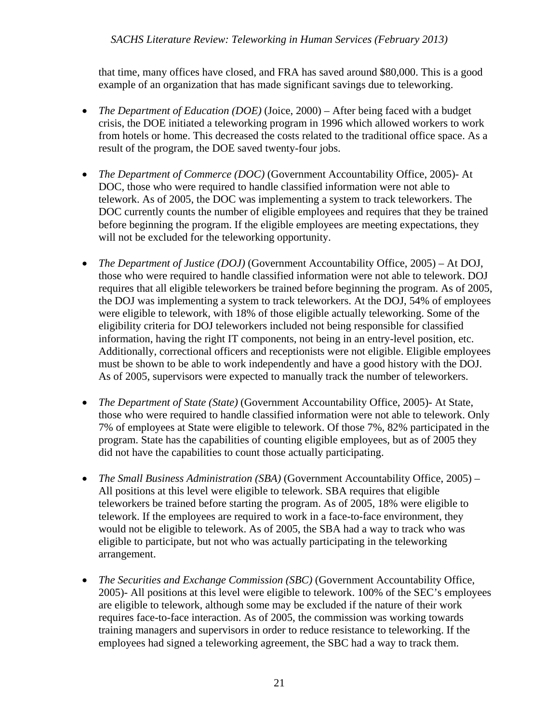that time, many offices have closed, and FRA has saved around \$80,000. This is a good example of an organization that has made significant savings due to teleworking.

- *The Department of Education (DOE)* (Joice, 2000) After being faced with a budget crisis, the DOE initiated a teleworking program in 1996 which allowed workers to work from hotels or home. This decreased the costs related to the traditional office space. As a result of the program, the DOE saved twenty-four jobs.
- *The Department of Commerce (DOC)* (Government Accountability Office, 2005)- At DOC, those who were required to handle classified information were not able to telework. As of 2005, the DOC was implementing a system to track teleworkers. The DOC currently counts the number of eligible employees and requires that they be trained before beginning the program. If the eligible employees are meeting expectations, they will not be excluded for the teleworking opportunity.
- *The Department of Justice (DOJ)* (Government Accountability Office, 2005) At DOJ, those who were required to handle classified information were not able to telework. DOJ requires that all eligible teleworkers be trained before beginning the program. As of 2005, the DOJ was implementing a system to track teleworkers. At the DOJ, 54% of employees were eligible to telework, with 18% of those eligible actually teleworking. Some of the eligibility criteria for DOJ teleworkers included not being responsible for classified information, having the right IT components, not being in an entry-level position, etc. Additionally, correctional officers and receptionists were not eligible. Eligible employees must be shown to be able to work independently and have a good history with the DOJ. As of 2005, supervisors were expected to manually track the number of teleworkers.
- *The Department of State (State)* (Government Accountability Office, 2005)- At State, those who were required to handle classified information were not able to telework. Only 7% of employees at State were eligible to telework. Of those 7%, 82% participated in the program. State has the capabilities of counting eligible employees, but as of 2005 they did not have the capabilities to count those actually participating.
- *The Small Business Administration (SBA)* (Government Accountability Office, 2005) All positions at this level were eligible to telework. SBA requires that eligible teleworkers be trained before starting the program. As of 2005, 18% were eligible to telework. If the employees are required to work in a face-to-face environment, they would not be eligible to telework. As of 2005, the SBA had a way to track who was eligible to participate, but not who was actually participating in the teleworking arrangement.
- *The Securities and Exchange Commission (SBC)* (Government Accountability Office, 2005)- All positions at this level were eligible to telework. 100% of the SEC's employees are eligible to telework, although some may be excluded if the nature of their work requires face-to-face interaction. As of 2005, the commission was working towards training managers and supervisors in order to reduce resistance to teleworking. If the employees had signed a teleworking agreement, the SBC had a way to track them.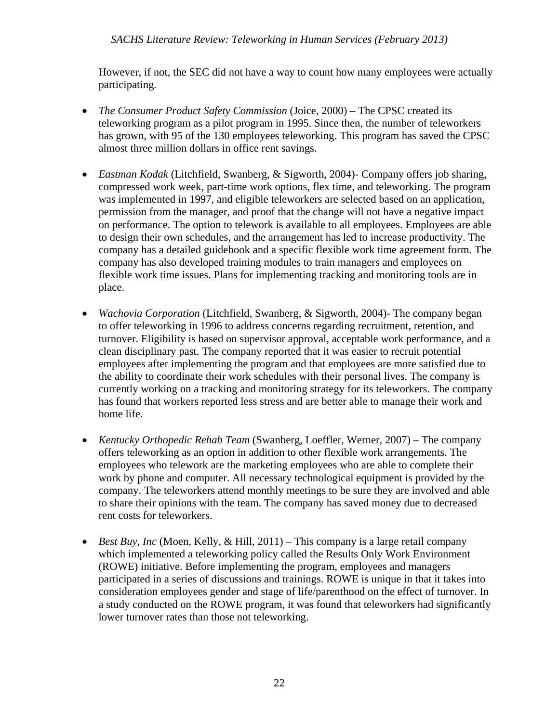However, if not, the SEC did not have a way to count how many employees were actually participating.

- *The Consumer Product Safety Commission* (Joice, 2000) The CPSC created its teleworking program as a pilot program in 1995. Since then, the number of teleworkers has grown, with 95 of the 130 employees teleworking. This program has saved the CPSC almost three million dollars in office rent savings.
- *Eastman Kodak* (Litchfield, Swanberg, & Sigworth, 2004)- Company offers job sharing, compressed work week, part-time work options, flex time, and teleworking. The program was implemented in 1997, and eligible teleworkers are selected based on an application, permission from the manager, and proof that the change will not have a negative impact on performance. The option to telework is available to all employees. Employees are able to design their own schedules, and the arrangement has led to increase productivity. The company has a detailed guidebook and a specific flexible work time agreement form. The company has also developed training modules to train managers and employees on flexible work time issues. Plans for implementing tracking and monitoring tools are in place.
- *Wachovia Corporation* (Litchfield, Swanberg, & Sigworth, 2004)- The company began to offer teleworking in 1996 to address concerns regarding recruitment, retention, and turnover. Eligibility is based on supervisor approval, acceptable work performance, and a clean disciplinary past. The company reported that it was easier to recruit potential employees after implementing the program and that employees are more satisfied due to the ability to coordinate their work schedules with their personal lives. The company is currently working on a tracking and monitoring strategy for its teleworkers. The company has found that workers reported less stress and are better able to manage their work and home life.
- *Kentucky Orthopedic Rehab Team* (Swanberg, Loeffler, Werner, 2007) The company offers teleworking as an option in addition to other flexible work arrangements. The employees who telework are the marketing employees who are able to complete their work by phone and computer. All necessary technological equipment is provided by the company. The teleworkers attend monthly meetings to be sure they are involved and able to share their opinions with the team. The company has saved money due to decreased rent costs for teleworkers.
- *Best Buy, Inc* (Moen, Kelly, & Hill, 2011) This company is a large retail company which implemented a teleworking policy called the Results Only Work Environment (ROWE) initiative. Before implementing the program, employees and managers participated in a series of discussions and trainings. ROWE is unique in that it takes into consideration employees gender and stage of life/parenthood on the effect of turnover. In a study conducted on the ROWE program, it was found that teleworkers had significantly lower turnover rates than those not teleworking.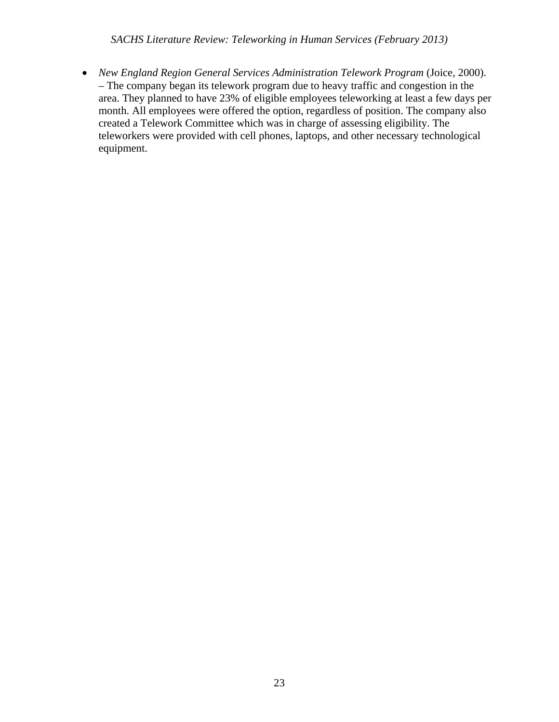• *New England Region General Services Administration Telework Program (Joice, 2000).* – The company began its telework program due to heavy traffic and congestion in the area. They planned to have 23% of eligible employees teleworking at least a few days per month. All employees were offered the option, regardless of position. The company also created a Telework Committee which was in charge of assessing eligibility. The teleworkers were provided with cell phones, laptops, and other necessary technological equipment.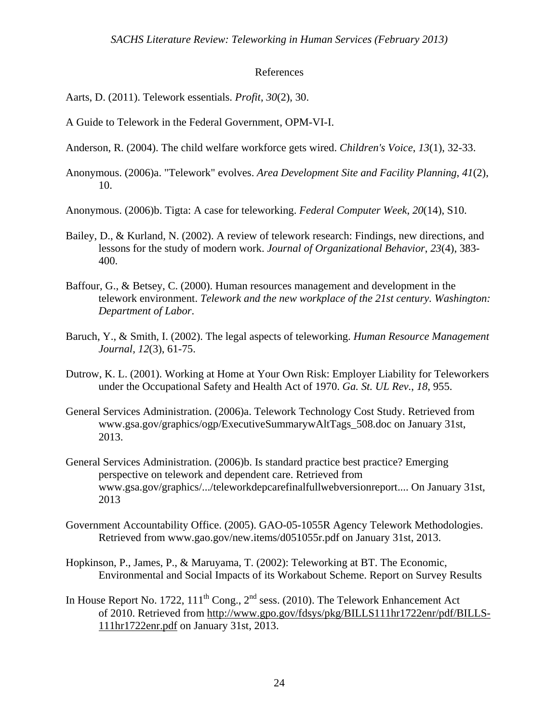#### References

Aarts, D. (2011). Telework essentials. *Profit*, *30*(2), 30.

A Guide to Telework in the Federal Government, OPM-VI-I.

- Anderson, R. (2004). The child welfare workforce gets wired. *Children's Voice*, *13*(1), 32-33.
- Anonymous. (2006)a. "Telework" evolves. *Area Development Site and Facility Planning*, *41*(2), 10.

Anonymous. (2006)b. Tigta: A case for teleworking. *Federal Computer Week*, *20*(14), S10.

- Bailey, D., & Kurland, N. (2002). A review of telework research: Findings, new directions, and lessons for the study of modern work. *Journal of Organizational Behavior*, *23*(4), 383- 400.
- Baffour, G., & Betsey, C. (2000). Human resources management and development in the telework environment. *Telework and the new workplace of the 21st century. Washington: Department of Labor*.
- Baruch, Y., & Smith, I. (2002). The legal aspects of teleworking. *Human Resource Management Journal, 12*(3), 61-75.
- Dutrow, K. L. (2001). Working at Home at Your Own Risk: Employer Liability for Teleworkers under the Occupational Safety and Health Act of 1970. *Ga. St. UL Rev.*, *18*, 955.
- General Services Administration. (2006)a. Telework Technology Cost Study. Retrieved from www.gsa.gov/graphics/ogp/ExecutiveSummarywAltTags\_508.doc on January 31st, 2013.
- General Services Administration. (2006)b. Is standard practice best practice? Emerging perspective on telework and dependent care. Retrieved from www.gsa.gov/graphics/.../teleworkdepcarefinalfullwebversionreport.... On January 31st, 2013
- Government Accountability Office. (2005). GAO-05-1055R Agency Telework Methodologies. Retrieved from www.gao.gov/new.items/d051055r.pdf on January 31st, 2013.
- Hopkinson, P., James, P., & Maruyama, T. (2002): Teleworking at BT. The Economic, Environmental and Social Impacts of its Workabout Scheme. Report on Survey Results
- In House Report No. 1722,  $111^{th}$  Cong.,  $2^{nd}$  sess. (2010). The Telework Enhancement Act of 2010. Retrieved from http://www.gpo.gov/fdsys/pkg/BILLS111hr1722enr/pdf/BILLS-111hr1722enr.pdf on January 31st, 2013.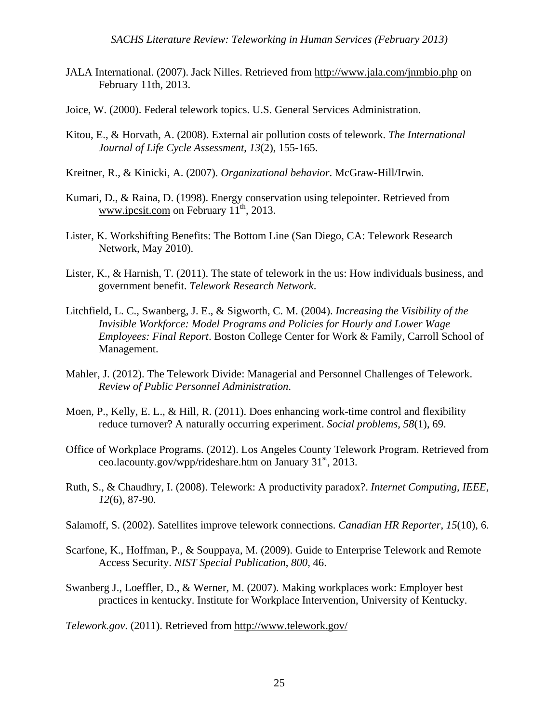- JALA International. (2007). Jack Nilles. Retrieved from http://www.jala.com/jnmbio.php on February 11th, 2013.
- Joice, W. (2000). Federal telework topics. U.S. General Services Administration.
- Kitou, E., & Horvath, A. (2008). External air pollution costs of telework. *The International Journal of Life Cycle Assessment*, *13*(2), 155-165.
- Kreitner, R., & Kinicki, A. (2007). *Organizational behavior*. McGraw-Hill/Irwin.
- Kumari, D., & Raina, D. (1998). Energy conservation using telepointer. Retrieved from www.ipcsit.com on February  $11<sup>th</sup>$ , 2013.
- Lister, K. Workshifting Benefits: The Bottom Line (San Diego, CA: Telework Research Network, May 2010).
- Lister, K., & Harnish, T. (2011). The state of telework in the us: How individuals business, and government benefit. *Telework Research Network*.
- Litchfield, L. C., Swanberg, J. E., & Sigworth, C. M. (2004). *Increasing the Visibility of the Invisible Workforce: Model Programs and Policies for Hourly and Lower Wage Employees: Final Report*. Boston College Center for Work & Family, Carroll School of Management.
- Mahler, J. (2012). The Telework Divide: Managerial and Personnel Challenges of Telework. *Review of Public Personnel Administration*.
- Moen, P., Kelly, E. L., & Hill, R. (2011). Does enhancing work-time control and flexibility reduce turnover? A naturally occurring experiment. *Social problems*, *58*(1), 69.
- Office of Workplace Programs. (2012). Los Angeles County Telework Program. Retrieved from ceo.lacounty.gov/wpp/rideshare.htm on January  $31<sup>st</sup>$ , 2013.
- Ruth, S., & Chaudhry, I. (2008). Telework: A productivity paradox?. *Internet Computing, IEEE*, *12*(6), 87-90.
- Salamoff, S. (2002). Satellites improve telework connections. *Canadian HR Reporter*, *15*(10), 6.
- Scarfone, K., Hoffman, P., & Souppaya, M. (2009). Guide to Enterprise Telework and Remote Access Security. *NIST Special Publication*, *800*, 46.
- Swanberg J., Loeffler, D., & Werner, M. (2007). Making workplaces work: Employer best practices in kentucky. Institute for Workplace Intervention, University of Kentucky.

*Telework.gov*. (2011). Retrieved from http://www.telework.gov/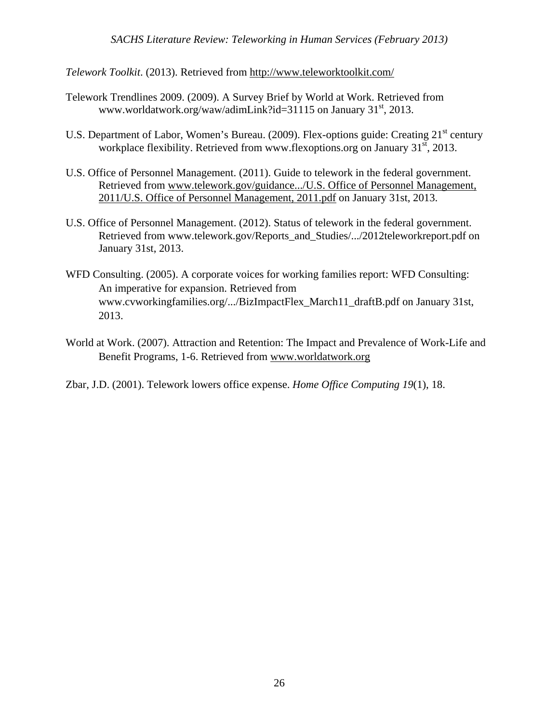*Telework Toolkit*. (2013). Retrieved from http://www.teleworktoolkit.com/

- Telework Trendlines 2009. (2009). A Survey Brief by World at Work. Retrieved from www.worldatwork.org/waw/adimLink?id=31115 on January 31<sup>st</sup>, 2013.
- U.S. Department of Labor, Women's Bureau. (2009). Flex-options guide: Creating 21<sup>st</sup> century workplace flexibility. Retrieved from www.flexoptions.org on January  $31<sup>st</sup>$ , 2013.
- U.S. Office of Personnel Management. (2011). Guide to telework in the federal government. Retrieved from www.telework.gov/guidance.../U.S. Office of Personnel Management, 2011/U.S. Office of Personnel Management, 2011.pdf on January 31st, 2013.
- U.S. Office of Personnel Management. (2012). Status of telework in the federal government. Retrieved from www.telework.gov/Reports\_and\_Studies/.../2012teleworkreport.pdf on January 31st, 2013.
- WFD Consulting. (2005). A corporate voices for working families report: WFD Consulting: An imperative for expansion. Retrieved from www.cvworkingfamilies.org/.../BizImpactFlex\_March11\_draftB.pdf on January 31st, 2013.
- World at Work. (2007). Attraction and Retention: The Impact and Prevalence of Work-Life and Benefit Programs, 1-6. Retrieved from www.worldatwork.org
- Zbar, J.D. (2001). Telework lowers office expense. *Home Office Computing 19*(1), 18.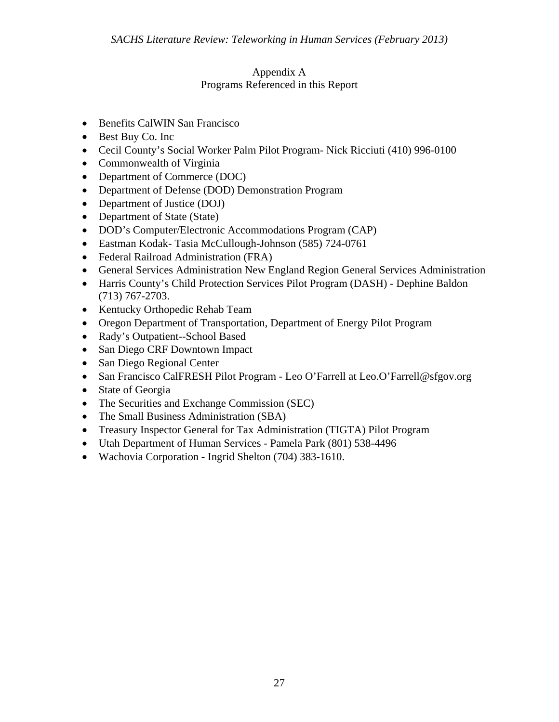#### Appendix A Programs Referenced in this Report

- Benefits CalWIN San Francisco
- Best Buy Co. Inc
- Cecil County's Social Worker Palm Pilot Program- Nick Ricciuti (410) 996-0100
- Commonwealth of Virginia
- Department of Commerce (DOC)
- Department of Defense (DOD) Demonstration Program
- Department of Justice (DOJ)
- Department of State (State)
- DOD's Computer/Electronic Accommodations Program (CAP)
- Eastman Kodak- Tasia McCullough-Johnson (585) 724-0761
- Federal Railroad Administration (FRA)
- General Services Administration New England Region General Services Administration
- Harris County's Child Protection Services Pilot Program (DASH) Dephine Baldon (713) 767-2703.
- Kentucky Orthopedic Rehab Team
- Oregon Department of Transportation, Department of Energy Pilot Program
- Rady's Outpatient--School Based
- San Diego CRF Downtown Impact
- San Diego Regional Center
- San Francisco CalFRESH Pilot Program Leo O'Farrell at Leo. O'Farrell@sfgov.org
- State of Georgia
- The Securities and Exchange Commission (SEC)
- The Small Business Administration (SBA)
- Treasury Inspector General for Tax Administration (TIGTA) Pilot Program
- Utah Department of Human Services Pamela Park (801) 538-4496
- Wachovia Corporation Ingrid Shelton (704) 383-1610.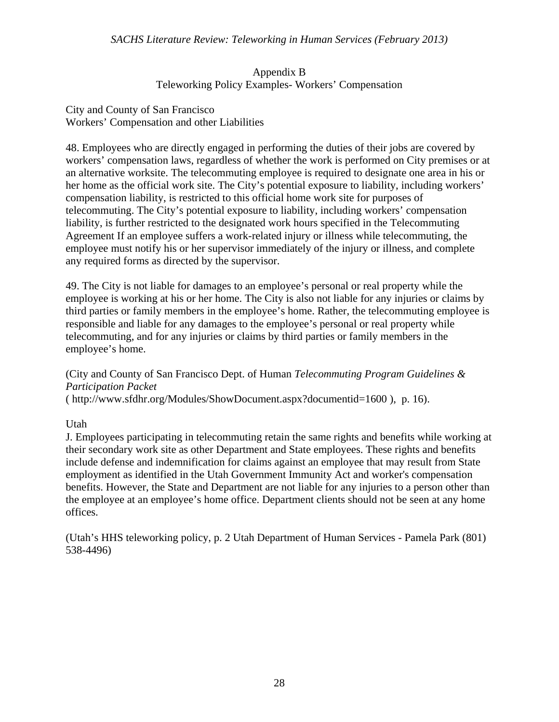#### Appendix B Teleworking Policy Examples- Workers' Compensation

#### City and County of San Francisco Workers' Compensation and other Liabilities

48. Employees who are directly engaged in performing the duties of their jobs are covered by workers' compensation laws, regardless of whether the work is performed on City premises or at an alternative worksite. The telecommuting employee is required to designate one area in his or her home as the official work site. The City's potential exposure to liability, including workers' compensation liability, is restricted to this official home work site for purposes of telecommuting. The City's potential exposure to liability, including workers' compensation liability, is further restricted to the designated work hours specified in the Telecommuting Agreement If an employee suffers a work-related injury or illness while telecommuting, the employee must notify his or her supervisor immediately of the injury or illness, and complete any required forms as directed by the supervisor.

49. The City is not liable for damages to an employee's personal or real property while the employee is working at his or her home. The City is also not liable for any injuries or claims by third parties or family members in the employee's home. Rather, the telecommuting employee is responsible and liable for any damages to the employee's personal or real property while telecommuting, and for any injuries or claims by third parties or family members in the employee's home.

# (City and County of San Francisco Dept. of Human *Telecommuting Program Guidelines & Participation Packet*

( http://www.sfdhr.org/Modules/ShowDocument.aspx?documentid=1600 ), p. 16).

Utah

J. Employees participating in telecommuting retain the same rights and benefits while working at their secondary work site as other Department and State employees. These rights and benefits include defense and indemnification for claims against an employee that may result from State employment as identified in the Utah Government Immunity Act and worker's compensation benefits. However, the State and Department are not liable for any injuries to a person other than the employee at an employee's home office. Department clients should not be seen at any home offices.

(Utah's HHS teleworking policy, p. 2 Utah Department of Human Services - Pamela Park (801) 538-4496)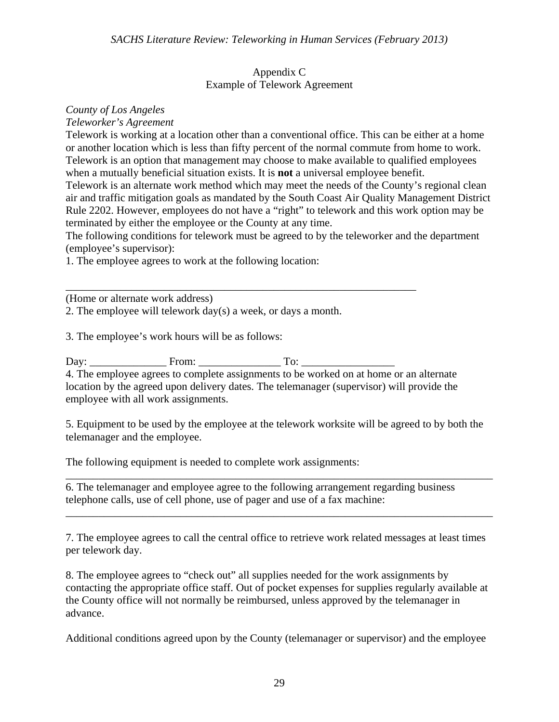#### Appendix C Example of Telework Agreement

# *County of Los Angeles*

*Teleworker's Agreement* 

Telework is working at a location other than a conventional office. This can be either at a home or another location which is less than fifty percent of the normal commute from home to work. Telework is an option that management may choose to make available to qualified employees when a mutually beneficial situation exists. It is **not** a universal employee benefit.

Telework is an alternate work method which may meet the needs of the County's regional clean air and traffic mitigation goals as mandated by the South Coast Air Quality Management District Rule 2202. However, employees do not have a "right" to telework and this work option may be terminated by either the employee or the County at any time.

The following conditions for telework must be agreed to by the teleworker and the department (employee's supervisor):

1. The employee agrees to work at the following location:

\_\_\_\_\_\_\_\_\_\_\_\_\_\_\_\_\_\_\_\_\_\_\_\_\_\_\_\_\_\_\_\_\_\_\_\_\_\_\_\_\_\_\_\_\_\_\_\_\_\_\_\_\_\_\_\_\_\_\_\_\_\_\_\_ (Home or alternate work address)

2. The employee will telework day(s) a week, or days a month.

3. The employee's work hours will be as follows:

Day: From: To:

4. The employee agrees to complete assignments to be worked on at home or an alternate location by the agreed upon delivery dates. The telemanager (supervisor) will provide the employee with all work assignments.

5. Equipment to be used by the employee at the telework worksite will be agreed to by both the telemanager and the employee.

\_\_\_\_\_\_\_\_\_\_\_\_\_\_\_\_\_\_\_\_\_\_\_\_\_\_\_\_\_\_\_\_\_\_\_\_\_\_\_\_\_\_\_\_\_\_\_\_\_\_\_\_\_\_\_\_\_\_\_\_\_\_\_\_\_\_\_\_\_\_\_\_\_\_\_\_\_\_

\_\_\_\_\_\_\_\_\_\_\_\_\_\_\_\_\_\_\_\_\_\_\_\_\_\_\_\_\_\_\_\_\_\_\_\_\_\_\_\_\_\_\_\_\_\_\_\_\_\_\_\_\_\_\_\_\_\_\_\_\_\_\_\_\_\_\_\_\_\_\_\_\_\_\_\_\_\_

The following equipment is needed to complete work assignments:

6. The telemanager and employee agree to the following arrangement regarding business telephone calls, use of cell phone, use of pager and use of a fax machine:

7. The employee agrees to call the central office to retrieve work related messages at least times per telework day.

8. The employee agrees to "check out" all supplies needed for the work assignments by contacting the appropriate office staff. Out of pocket expenses for supplies regularly available at the County office will not normally be reimbursed, unless approved by the telemanager in advance.

Additional conditions agreed upon by the County (telemanager or supervisor) and the employee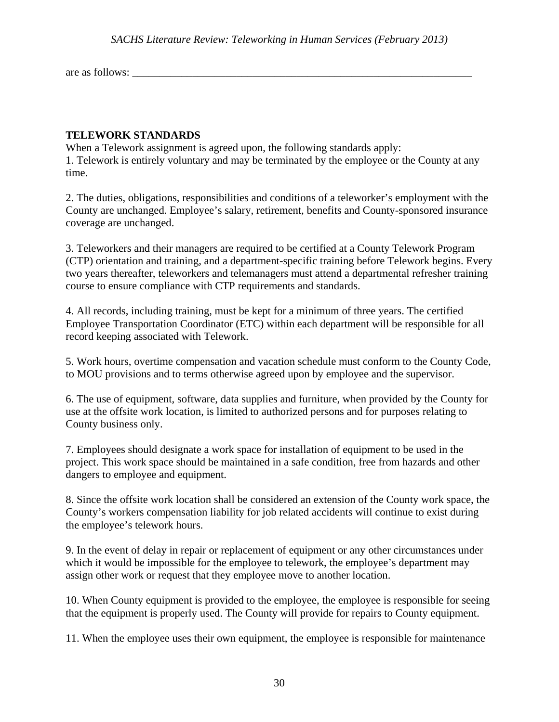are as follows:

#### **TELEWORK STANDARDS**

When a Telework assignment is agreed upon, the following standards apply: 1. Telework is entirely voluntary and may be terminated by the employee or the County at any time.

2. The duties, obligations, responsibilities and conditions of a teleworker's employment with the County are unchanged. Employee's salary, retirement, benefits and County-sponsored insurance coverage are unchanged.

3. Teleworkers and their managers are required to be certified at a County Telework Program (CTP) orientation and training, and a department-specific training before Telework begins. Every two years thereafter, teleworkers and telemanagers must attend a departmental refresher training course to ensure compliance with CTP requirements and standards.

4. All records, including training, must be kept for a minimum of three years. The certified Employee Transportation Coordinator (ETC) within each department will be responsible for all record keeping associated with Telework.

5. Work hours, overtime compensation and vacation schedule must conform to the County Code, to MOU provisions and to terms otherwise agreed upon by employee and the supervisor.

6. The use of equipment, software, data supplies and furniture, when provided by the County for use at the offsite work location, is limited to authorized persons and for purposes relating to County business only.

7. Employees should designate a work space for installation of equipment to be used in the project. This work space should be maintained in a safe condition, free from hazards and other dangers to employee and equipment.

8. Since the offsite work location shall be considered an extension of the County work space, the County's workers compensation liability for job related accidents will continue to exist during the employee's telework hours.

9. In the event of delay in repair or replacement of equipment or any other circumstances under which it would be impossible for the employee to telework, the employee's department may assign other work or request that they employee move to another location.

10. When County equipment is provided to the employee, the employee is responsible for seeing that the equipment is properly used. The County will provide for repairs to County equipment.

11. When the employee uses their own equipment, the employee is responsible for maintenance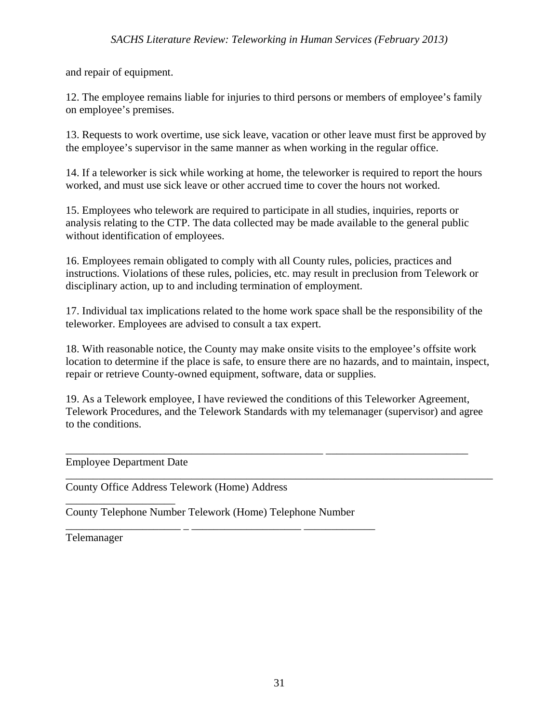and repair of equipment.

12. The employee remains liable for injuries to third persons or members of employee's family on employee's premises.

13. Requests to work overtime, use sick leave, vacation or other leave must first be approved by the employee's supervisor in the same manner as when working in the regular office.

14. If a teleworker is sick while working at home, the teleworker is required to report the hours worked, and must use sick leave or other accrued time to cover the hours not worked.

15. Employees who telework are required to participate in all studies, inquiries, reports or analysis relating to the CTP. The data collected may be made available to the general public without identification of employees.

16. Employees remain obligated to comply with all County rules, policies, practices and instructions. Violations of these rules, policies, etc. may result in preclusion from Telework or disciplinary action, up to and including termination of employment.

17. Individual tax implications related to the home work space shall be the responsibility of the teleworker. Employees are advised to consult a tax expert.

18. With reasonable notice, the County may make onsite visits to the employee's offsite work location to determine if the place is safe, to ensure there are no hazards, and to maintain, inspect, repair or retrieve County-owned equipment, software, data or supplies.

19. As a Telework employee, I have reviewed the conditions of this Teleworker Agreement, Telework Procedures, and the Telework Standards with my telemanager (supervisor) and agree to the conditions.

\_\_\_\_\_\_\_\_\_\_\_\_\_\_\_\_\_\_\_\_\_\_\_\_\_\_\_\_\_\_\_\_\_\_\_\_\_\_\_\_\_\_\_\_\_\_\_ \_\_\_\_\_\_\_\_\_\_\_\_\_\_\_\_\_\_\_\_\_\_\_\_\_\_

\_\_\_\_\_\_\_\_\_\_\_\_\_\_\_\_\_\_\_\_\_\_\_\_\_\_\_\_\_\_\_\_\_\_\_\_\_\_\_\_\_\_\_\_\_\_\_\_\_\_\_\_\_\_\_\_\_\_\_\_\_\_\_\_\_\_\_\_\_\_\_\_\_\_\_\_\_\_

Employee Department Date

\_\_\_\_\_\_\_\_\_\_\_\_\_\_\_\_\_\_\_\_

County Office Address Telework (Home) Address

County Telephone Number Telework (Home) Telephone Number

\_\_\_\_\_\_\_\_\_\_\_\_\_\_\_\_\_\_\_\_\_ \_ \_\_\_\_\_\_\_\_\_\_\_\_\_\_\_\_\_\_\_\_ \_\_\_\_\_\_\_\_\_\_\_\_\_

Telemanager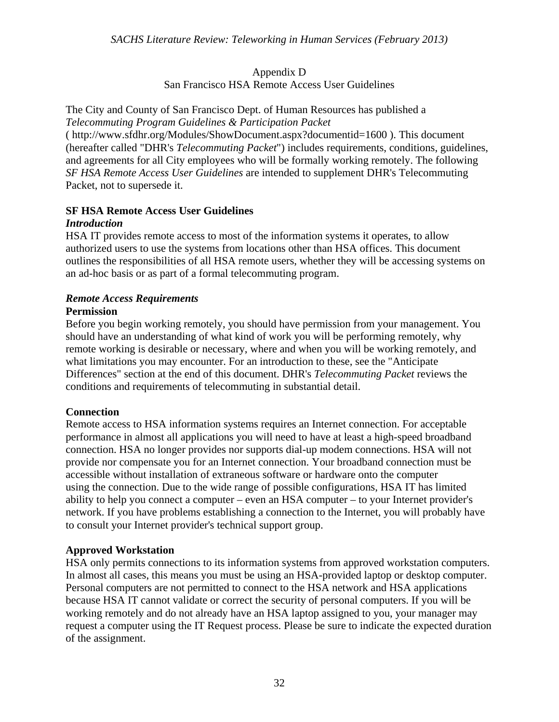#### Appendix D San Francisco HSA Remote Access User Guidelines

The City and County of San Francisco Dept. of Human Resources has published a *Telecommuting Program Guidelines & Participation Packet* 

( http://www.sfdhr.org/Modules/ShowDocument.aspx?documentid=1600 ). This document (hereafter called "DHR's *Telecommuting Packet*") includes requirements, conditions, guidelines, and agreements for all City employees who will be formally working remotely. The following *SF HSA Remote Access User Guidelines* are intended to supplement DHR's Telecommuting Packet, not to supersede it.

### **SF HSA Remote Access User Guidelines**

#### *Introduction*

HSA IT provides remote access to most of the information systems it operates, to allow authorized users to use the systems from locations other than HSA offices. This document outlines the responsibilities of all HSA remote users, whether they will be accessing systems on an ad-hoc basis or as part of a formal telecommuting program.

#### *Remote Access Requirements*  **Permission**

Before you begin working remotely, you should have permission from your management. You should have an understanding of what kind of work you will be performing remotely, why remote working is desirable or necessary, where and when you will be working remotely, and what limitations you may encounter. For an introduction to these, see the "Anticipate Differences" section at the end of this document. DHR's *Telecommuting Packet* reviews the conditions and requirements of telecommuting in substantial detail.

#### **Connection**

Remote access to HSA information systems requires an Internet connection. For acceptable performance in almost all applications you will need to have at least a high-speed broadband connection. HSA no longer provides nor supports dial-up modem connections. HSA will not provide nor compensate you for an Internet connection. Your broadband connection must be accessible without installation of extraneous software or hardware onto the computer using the connection. Due to the wide range of possible configurations, HSA IT has limited ability to help you connect a computer – even an HSA computer – to your Internet provider's network. If you have problems establishing a connection to the Internet, you will probably have to consult your Internet provider's technical support group.

#### **Approved Workstation**

HSA only permits connections to its information systems from approved workstation computers. In almost all cases, this means you must be using an HSA-provided laptop or desktop computer. Personal computers are not permitted to connect to the HSA network and HSA applications because HSA IT cannot validate or correct the security of personal computers. If you will be working remotely and do not already have an HSA laptop assigned to you, your manager may request a computer using the IT Request process. Please be sure to indicate the expected duration of the assignment.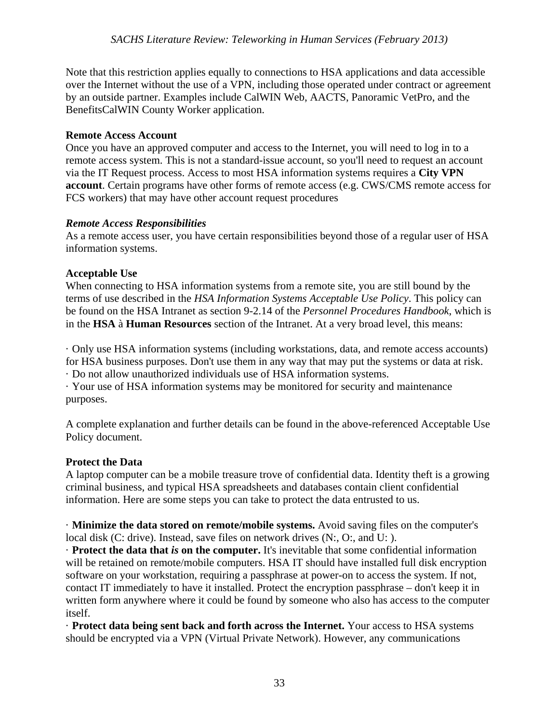Note that this restriction applies equally to connections to HSA applications and data accessible over the Internet without the use of a VPN, including those operated under contract or agreement by an outside partner. Examples include CalWIN Web, AACTS, Panoramic VetPro, and the BenefitsCalWIN County Worker application.

#### **Remote Access Account**

Once you have an approved computer and access to the Internet, you will need to log in to a remote access system. This is not a standard-issue account, so you'll need to request an account via the IT Request process. Access to most HSA information systems requires a **City VPN account**. Certain programs have other forms of remote access (e.g. CWS/CMS remote access for FCS workers) that may have other account request procedures

#### *Remote Access Responsibilities*

As a remote access user, you have certain responsibilities beyond those of a regular user of HSA information systems.

#### **Acceptable Use**

When connecting to HSA information systems from a remote site, you are still bound by the terms of use described in the *HSA Information Systems Acceptable Use Policy*. This policy can be found on the HSA Intranet as section 9-2.14 of the *Personnel Procedures Handbook*, which is in the **HSA** à **Human Resources** section of the Intranet. At a very broad level, this means:

· Only use HSA information systems (including workstations, data, and remote access accounts) for HSA business purposes. Don't use them in any way that may put the systems or data at risk.

· Do not allow unauthorized individuals use of HSA information systems.

· Your use of HSA information systems may be monitored for security and maintenance purposes.

A complete explanation and further details can be found in the above-referenced Acceptable Use Policy document.

#### **Protect the Data**

A laptop computer can be a mobile treasure trove of confidential data. Identity theft is a growing criminal business, and typical HSA spreadsheets and databases contain client confidential information. Here are some steps you can take to protect the data entrusted to us.

· **Minimize the data stored on remote/mobile systems.** Avoid saving files on the computer's local disk (C: drive). Instead, save files on network drives (N:, O:, and U: ).

· **Protect the data that** *is* **on the computer.** It's inevitable that some confidential information will be retained on remote/mobile computers. HSA IT should have installed full disk encryption software on your workstation, requiring a passphrase at power-on to access the system. If not, contact IT immediately to have it installed. Protect the encryption passphrase – don't keep it in written form anywhere where it could be found by someone who also has access to the computer itself.

· **Protect data being sent back and forth across the Internet.** Your access to HSA systems should be encrypted via a VPN (Virtual Private Network). However, any communications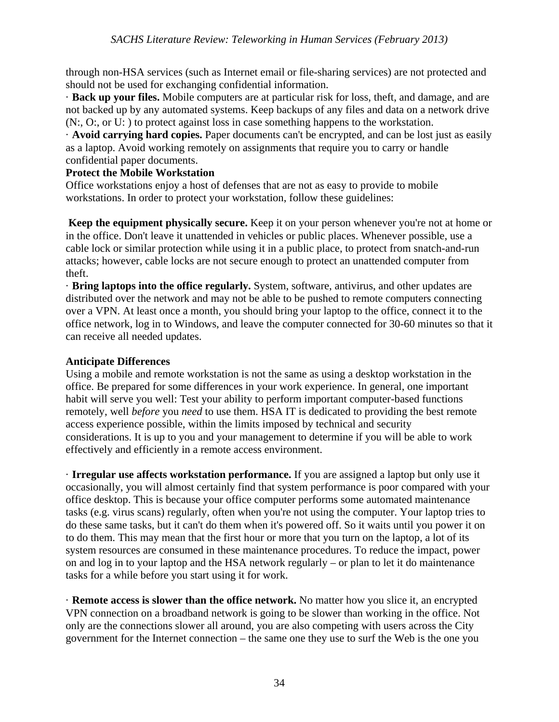through non-HSA services (such as Internet email or file-sharing services) are not protected and should not be used for exchanging confidential information.

· **Back up your files.** Mobile computers are at particular risk for loss, theft, and damage, and are not backed up by any automated systems. Keep backups of any files and data on a network drive (N:, O:, or U: ) to protect against loss in case something happens to the workstation.

· **Avoid carrying hard copies.** Paper documents can't be encrypted, and can be lost just as easily as a laptop. Avoid working remotely on assignments that require you to carry or handle confidential paper documents.

#### **Protect the Mobile Workstation**

Office workstations enjoy a host of defenses that are not as easy to provide to mobile workstations. In order to protect your workstation, follow these guidelines:

**Keep the equipment physically secure.** Keep it on your person whenever you're not at home or in the office. Don't leave it unattended in vehicles or public places. Whenever possible, use a cable lock or similar protection while using it in a public place, to protect from snatch-and-run attacks; however, cable locks are not secure enough to protect an unattended computer from theft.

· **Bring laptops into the office regularly.** System, software, antivirus, and other updates are distributed over the network and may not be able to be pushed to remote computers connecting over a VPN. At least once a month, you should bring your laptop to the office, connect it to the office network, log in to Windows, and leave the computer connected for 30-60 minutes so that it can receive all needed updates.

#### **Anticipate Differences**

Using a mobile and remote workstation is not the same as using a desktop workstation in the office. Be prepared for some differences in your work experience. In general, one important habit will serve you well: Test your ability to perform important computer-based functions remotely, well *before* you *need* to use them. HSA IT is dedicated to providing the best remote access experience possible, within the limits imposed by technical and security considerations. It is up to you and your management to determine if you will be able to work effectively and efficiently in a remote access environment.

· **Irregular use affects workstation performance.** If you are assigned a laptop but only use it occasionally, you will almost certainly find that system performance is poor compared with your office desktop. This is because your office computer performs some automated maintenance tasks (e.g. virus scans) regularly, often when you're not using the computer. Your laptop tries to do these same tasks, but it can't do them when it's powered off. So it waits until you power it on to do them. This may mean that the first hour or more that you turn on the laptop, a lot of its system resources are consumed in these maintenance procedures. To reduce the impact, power on and log in to your laptop and the HSA network regularly – or plan to let it do maintenance tasks for a while before you start using it for work.

· **Remote access is slower than the office network.** No matter how you slice it, an encrypted VPN connection on a broadband network is going to be slower than working in the office. Not only are the connections slower all around, you are also competing with users across the City government for the Internet connection – the same one they use to surf the Web is the one you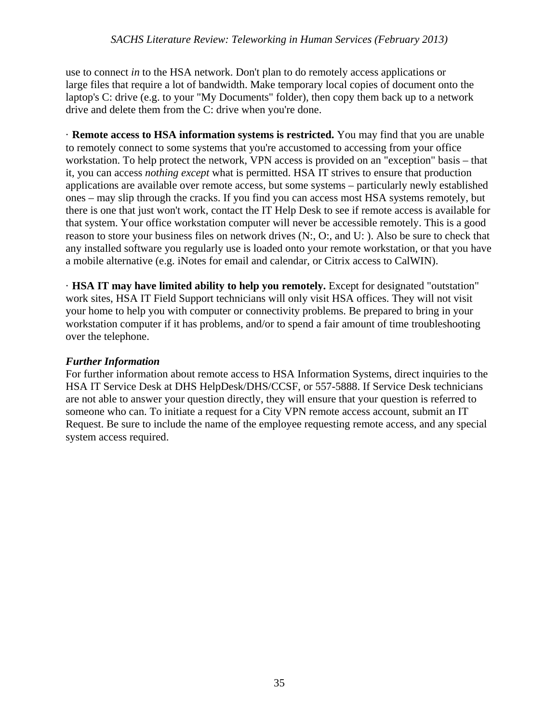use to connect *in* to the HSA network. Don't plan to do remotely access applications or large files that require a lot of bandwidth. Make temporary local copies of document onto the laptop's C: drive (e.g. to your "My Documents" folder), then copy them back up to a network drive and delete them from the C: drive when you're done.

· **Remote access to HSA information systems is restricted.** You may find that you are unable to remotely connect to some systems that you're accustomed to accessing from your office workstation. To help protect the network, VPN access is provided on an "exception" basis – that it, you can access *nothing except* what is permitted. HSA IT strives to ensure that production applications are available over remote access, but some systems – particularly newly established ones – may slip through the cracks. If you find you can access most HSA systems remotely, but there is one that just won't work, contact the IT Help Desk to see if remote access is available for that system. Your office workstation computer will never be accessible remotely. This is a good reason to store your business files on network drives (N:, O:, and U: ). Also be sure to check that any installed software you regularly use is loaded onto your remote workstation, or that you have a mobile alternative (e.g. iNotes for email and calendar, or Citrix access to CalWIN).

· **HSA IT may have limited ability to help you remotely.** Except for designated "outstation" work sites, HSA IT Field Support technicians will only visit HSA offices. They will not visit your home to help you with computer or connectivity problems. Be prepared to bring in your workstation computer if it has problems, and/or to spend a fair amount of time troubleshooting over the telephone.

#### *Further Information*

For further information about remote access to HSA Information Systems, direct inquiries to the HSA IT Service Desk at DHS HelpDesk/DHS/CCSF, or 557-5888. If Service Desk technicians are not able to answer your question directly, they will ensure that your question is referred to someone who can. To initiate a request for a City VPN remote access account, submit an IT Request. Be sure to include the name of the employee requesting remote access, and any special system access required.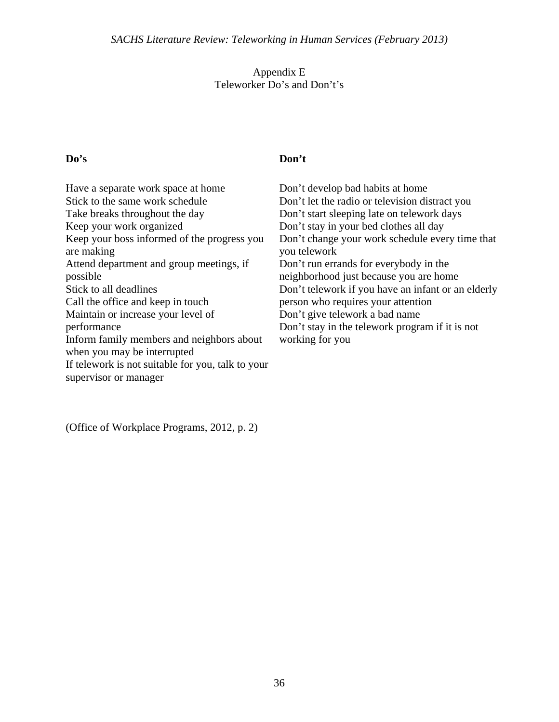#### Appendix E Teleworker Do's and Don't's

# **Do's Don't**

| Have a separate work space at home<br>Stick to the same work schedule<br>Take breaks throughout the day<br>Keep your work organized<br>Keep your boss informed of the progress you<br>are making<br>Attend department and group meetings, if<br>possible<br>Stick to all deadlines<br>Call the office and keep in touch<br>Maintain or increase your level of<br>performance<br>Inform family members and neighbors about<br>when you may be interrupted | Don't develop bad habits at home<br>Don't let the radio or television distract you<br>Don't start sleeping late on telework days<br>Don't stay in your bed clothes all day<br>Don't change your work schedule every time that<br>you telework<br>Don't run errands for everybody in the<br>neighborhood just because you are home<br>Don't telework if you have an infant or an elderly<br>person who requires your attention<br>Don't give telework a bad name<br>Don't stay in the telework program if it is not<br>working for you |
|----------------------------------------------------------------------------------------------------------------------------------------------------------------------------------------------------------------------------------------------------------------------------------------------------------------------------------------------------------------------------------------------------------------------------------------------------------|---------------------------------------------------------------------------------------------------------------------------------------------------------------------------------------------------------------------------------------------------------------------------------------------------------------------------------------------------------------------------------------------------------------------------------------------------------------------------------------------------------------------------------------|
| If telework is not suitable for you, talk to your                                                                                                                                                                                                                                                                                                                                                                                                        |                                                                                                                                                                                                                                                                                                                                                                                                                                                                                                                                       |

supervisor or manager

(Office of Workplace Programs, 2012, p. 2)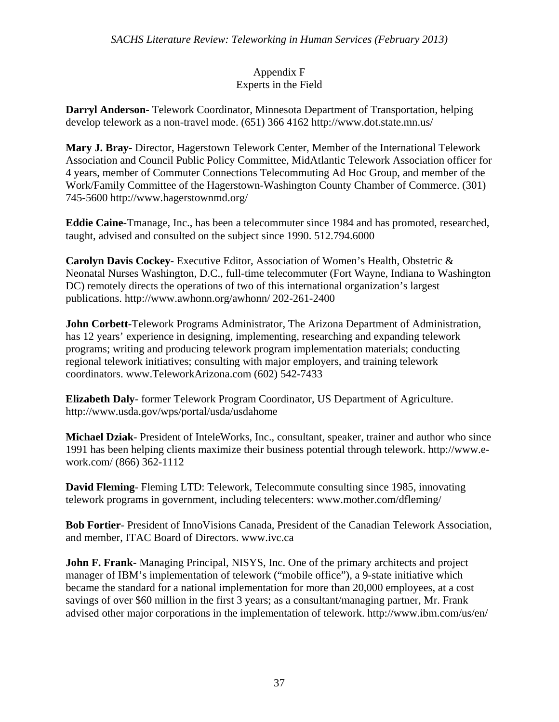#### Appendix F Experts in the Field

**Darryl Anderson**- Telework Coordinator, Minnesota Department of Transportation, helping develop telework as a non-travel mode. (651) 366 4162 http://www.dot.state.mn.us/

**Mary J. Bray**- Director, Hagerstown Telework Center, Member of the International Telework Association and Council Public Policy Committee, MidAtlantic Telework Association officer for 4 years, member of Commuter Connections Telecommuting Ad Hoc Group, and member of the Work/Family Committee of the Hagerstown-Washington County Chamber of Commerce. (301) 745-5600 http://www.hagerstownmd.org/

**Eddie Caine**-Tmanage, Inc., has been a telecommuter since 1984 and has promoted, researched, taught, advised and consulted on the subject since 1990. 512.794.6000

**Carolyn Davis Cockey**- Executive Editor, Association of Women's Health, Obstetric & Neonatal Nurses Washington, D.C., full-time telecommuter (Fort Wayne, Indiana to Washington DC) remotely directs the operations of two of this international organization's largest publications. http://www.awhonn.org/awhonn/ 202-261-2400

**John Corbett**-Telework Programs Administrator, The Arizona Department of Administration, has 12 years' experience in designing, implementing, researching and expanding telework programs; writing and producing telework program implementation materials; conducting regional telework initiatives; consulting with major employers, and training telework coordinators. www.TeleworkArizona.com (602) 542-7433

**Elizabeth Daly**- former Telework Program Coordinator, US Department of Agriculture. http://www.usda.gov/wps/portal/usda/usdahome

**Michael Dziak**- President of InteleWorks, Inc., consultant, speaker, trainer and author who since 1991 has been helping clients maximize their business potential through telework. http://www.ework.com/ (866) 362-1112

**David Fleming**- Fleming LTD: Telework, Telecommute consulting since 1985, innovating telework programs in government, including telecenters: www.mother.com/dfleming/

**Bob Fortier**- President of InnoVisions Canada, President of the Canadian Telework Association, and member, ITAC Board of Directors. www.ivc.ca

**John F. Frank**- Managing Principal, NISYS, Inc. One of the primary architects and project manager of IBM's implementation of telework ("mobile office"), a 9-state initiative which became the standard for a national implementation for more than 20,000 employees, at a cost savings of over \$60 million in the first 3 years; as a consultant/managing partner, Mr. Frank advised other major corporations in the implementation of telework. http://www.ibm.com/us/en/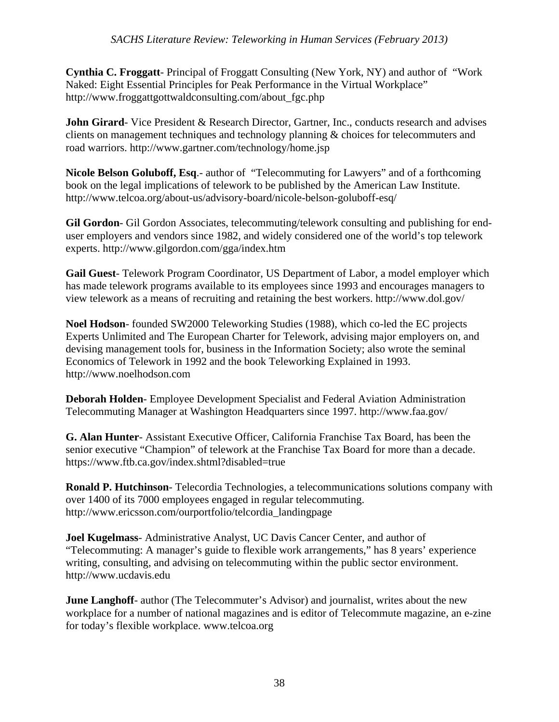**Cynthia C. Froggatt**- Principal of Froggatt Consulting (New York, NY) and author of "Work Naked: Eight Essential Principles for Peak Performance in the Virtual Workplace" http://www.froggattgottwaldconsulting.com/about\_fgc.php

**John Girard**- Vice President & Research Director, Gartner, Inc., conducts research and advises clients on management techniques and technology planning & choices for telecommuters and road warriors. http://www.gartner.com/technology/home.jsp

**Nicole Belson Goluboff, Esq**.- author of "Telecommuting for Lawyers" and of a forthcoming book on the legal implications of telework to be published by the American Law Institute. http://www.telcoa.org/about-us/advisory-board/nicole-belson-goluboff-esq/

**Gil Gordon**- Gil Gordon Associates, telecommuting/telework consulting and publishing for enduser employers and vendors since 1982, and widely considered one of the world's top telework experts. http://www.gilgordon.com/gga/index.htm

**Gail Guest**- Telework Program Coordinator, US Department of Labor, a model employer which has made telework programs available to its employees since 1993 and encourages managers to view telework as a means of recruiting and retaining the best workers. http://www.dol.gov/

**Noel Hodson**- founded SW2000 Teleworking Studies (1988), which co-led the EC projects Experts Unlimited and The European Charter for Telework, advising major employers on, and devising management tools for, business in the Information Society; also wrote the seminal Economics of Telework in 1992 and the book Teleworking Explained in 1993. http://www.noelhodson.com

**Deborah Holden**- Employee Development Specialist and Federal Aviation Administration Telecommuting Manager at Washington Headquarters since 1997. http://www.faa.gov/

**G. Alan Hunter**- Assistant Executive Officer, California Franchise Tax Board, has been the senior executive "Champion" of telework at the Franchise Tax Board for more than a decade. https://www.ftb.ca.gov/index.shtml?disabled=true

**Ronald P. Hutchinson**- Telecordia Technologies, a telecommunications solutions company with over 1400 of its 7000 employees engaged in regular telecommuting. http://www.ericsson.com/ourportfolio/telcordia\_landingpage

**Joel Kugelmass**- Administrative Analyst, UC Davis Cancer Center, and author of "Telecommuting: A manager's guide to flexible work arrangements," has 8 years' experience writing, consulting, and advising on telecommuting within the public sector environment. http://www.ucdavis.edu

**June Langhoff-** author (The Telecommuter's Advisor) and journalist, writes about the new workplace for a number of national magazines and is editor of Telecommute magazine, an e-zine for today's flexible workplace. www.telcoa.org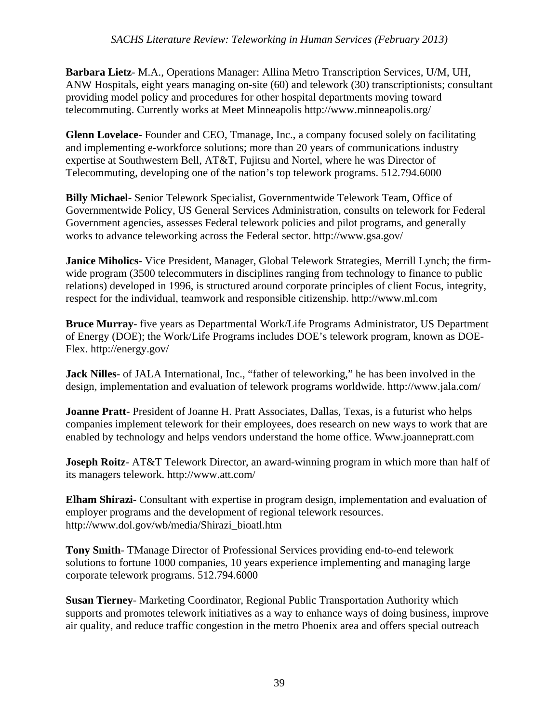**Barbara Lietz**- M.A., Operations Manager: Allina Metro Transcription Services, U/M, UH, ANW Hospitals, eight years managing on-site (60) and telework (30) transcriptionists; consultant providing model policy and procedures for other hospital departments moving toward telecommuting. Currently works at Meet Minneapolis http://www.minneapolis.org/

**Glenn Lovelace**- Founder and CEO, Tmanage, Inc., a company focused solely on facilitating and implementing e-workforce solutions; more than 20 years of communications industry expertise at Southwestern Bell, AT&T, Fujitsu and Nortel, where he was Director of Telecommuting, developing one of the nation's top telework programs. 512.794.6000

**Billy Michael**- Senior Telework Specialist, Governmentwide Telework Team, Office of Governmentwide Policy, US General Services Administration, consults on telework for Federal Government agencies, assesses Federal telework policies and pilot programs, and generally works to advance teleworking across the Federal sector. http://www.gsa.gov/

**Janice Miholics**- Vice President, Manager, Global Telework Strategies, Merrill Lynch; the firmwide program (3500 telecommuters in disciplines ranging from technology to finance to public relations) developed in 1996, is structured around corporate principles of client Focus, integrity, respect for the individual, teamwork and responsible citizenship. http://www.ml.com

**Bruce Murray**- five years as Departmental Work/Life Programs Administrator, US Department of Energy (DOE); the Work/Life Programs includes DOE's telework program, known as DOE-Flex. http://energy.gov/

**Jack Nilles**- of JALA International, Inc., "father of teleworking," he has been involved in the design, implementation and evaluation of telework programs worldwide. http://www.jala.com/

**Joanne Pratt**- President of Joanne H. Pratt Associates, Dallas, Texas, is a futurist who helps companies implement telework for their employees, does research on new ways to work that are enabled by technology and helps vendors understand the home office. Www.joannepratt.com

**Joseph Roitz**- AT&T Telework Director, an award-winning program in which more than half of its managers telework. http://www.att.com/

**Elham Shirazi**- Consultant with expertise in program design, implementation and evaluation of employer programs and the development of regional telework resources. http://www.dol.gov/wb/media/Shirazi\_bioatl.htm

**Tony Smith**- TManage Director of Professional Services providing end-to-end telework solutions to fortune 1000 companies, 10 years experience implementing and managing large corporate telework programs. 512.794.6000

**Susan Tierney**- Marketing Coordinator, Regional Public Transportation Authority which supports and promotes telework initiatives as a way to enhance ways of doing business, improve air quality, and reduce traffic congestion in the metro Phoenix area and offers special outreach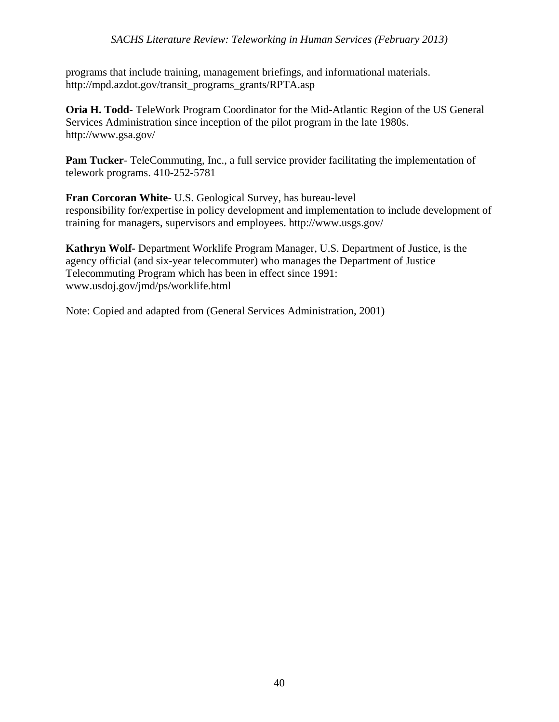programs that include training, management briefings, and informational materials. http://mpd.azdot.gov/transit\_programs\_grants/RPTA.asp

**Oria H. Todd**- TeleWork Program Coordinator for the Mid-Atlantic Region of the US General Services Administration since inception of the pilot program in the late 1980s. http://www.gsa.gov/

Pam Tucker- TeleCommuting, Inc., a full service provider facilitating the implementation of telework programs. 410-252-5781

**Fran Corcoran White**- U.S. Geological Survey, has bureau-level responsibility for/expertise in policy development and implementation to include development of training for managers, supervisors and employees. http://www.usgs.gov/

**Kathryn Wolf-** Department Worklife Program Manager, U.S. Department of Justice, is the agency official (and six-year telecommuter) who manages the Department of Justice Telecommuting Program which has been in effect since 1991: www.usdoj.gov/jmd/ps/worklife.html

Note: Copied and adapted from (General Services Administration, 2001)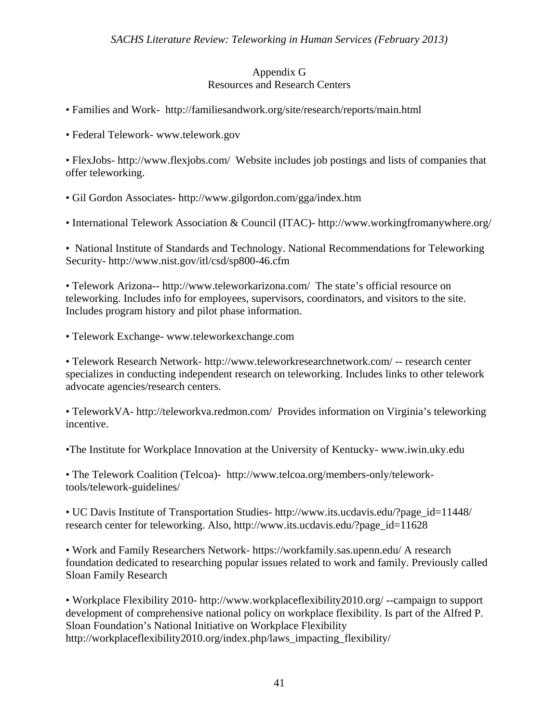#### Appendix G Resources and Research Centers

- Families and Work- http://familiesandwork.org/site/research/reports/main.html
- Federal Telework- www.telework.gov

• FlexJobs- http://www.flexjobs.com/ Website includes job postings and lists of companies that offer teleworking.

- Gil Gordon Associates- http://www.gilgordon.com/gga/index.htm
- International Telework Association & Council (ITAC)- http://www.workingfromanywhere.org/

• National Institute of Standards and Technology. National Recommendations for Teleworking Security- http://www.nist.gov/itl/csd/sp800-46.cfm

• Telework Arizona-- http://www.teleworkarizona.com/ The state's official resource on teleworking. Includes info for employees, supervisors, coordinators, and visitors to the site. Includes program history and pilot phase information.

• Telework Exchange- www.teleworkexchange.com

• Telework Research Network- http://www.teleworkresearchnetwork.com/ -- research center specializes in conducting independent research on teleworking. Includes links to other telework advocate agencies/research centers.

• TeleworkVA- http://teleworkva.redmon.com/ Provides information on Virginia's teleworking incentive.

•The Institute for Workplace Innovation at the University of Kentucky- www.iwin.uky.edu

• The Telework Coalition (Telcoa)- http://www.telcoa.org/members-only/teleworktools/telework-guidelines/

• UC Davis Institute of Transportation Studies- http://www.its.ucdavis.edu/?page\_id=11448/ research center for teleworking. Also, http://www.its.ucdavis.edu/?page\_id=11628

• Work and Family Researchers Network- https://workfamily.sas.upenn.edu/ A research foundation dedicated to researching popular issues related to work and family. Previously called Sloan Family Research

• Workplace Flexibility 2010- http://www.workplaceflexibility2010.org/ --campaign to support development of comprehensive national policy on workplace flexibility. Is part of the Alfred P. Sloan Foundation's National Initiative on Workplace Flexibility http://workplaceflexibility2010.org/index.php/laws\_impacting\_flexibility/